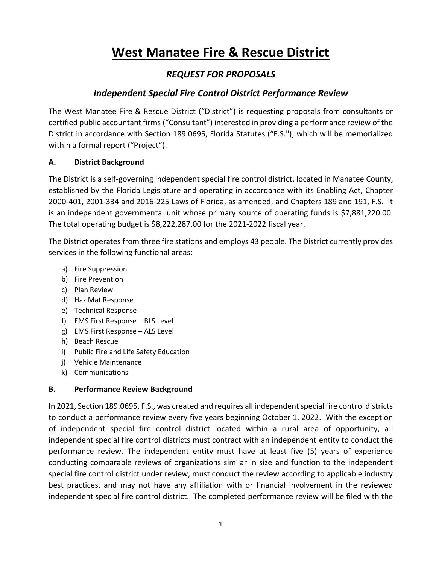# **West Manatee Fire & Rescue District**

# *REQUEST FOR PROPOSALS*

## *Independent Special Fire Control District Performance Review*

The West Manatee Fire & Rescue District ("District") is requesting proposals from consultants or certified public accountant firms ("Consultant") interested in providing a performance review of the District in accordance with Section 189.0695, Florida Statutes ("F.S."), which will be memorialized within a formal report ("Project").

## **A. District Background**

The District is a self-governing independent special fire control district, located in Manatee County, established by the Florida Legislature and operating in accordance with its Enabling Act, Chapter 2000-401, 2001-334 and 2016-225 Laws of Florida, as amended, and Chapters 189 and 191, F.S. It is an independent governmental unit whose primary source of operating funds is \$7,881,220.00. The total operating budget is \$8,222,287.00 for the 2021-2022 fiscal year.

The District operates from three fire stations and employs 43 people. The District currently provides services in the following functional areas:

- a) Fire Suppression
- b) Fire Prevention
- c) Plan Review
- d) Haz Mat Response
- e) Technical Response
- f) EMS First Response BLS Level
- g) EMS First Response ALS Level
- h) Beach Rescue
- i) Public Fire and Life Safety Education
- j) Vehicle Maintenance
- k) Communications

## **B. Performance Review Background**

In 2021, Section 189.0695, F.S., was created and requires all independent special fire control districts to conduct a performance review every five years beginning October 1, 2022. With the exception of independent special fire control district located within a rural area of opportunity, all independent special fire control districts must contract with an independent entity to conduct the performance review. The independent entity must have at least five (5) years of experience conducting comparable reviews of organizations similar in size and function to the independent special fire control district under review, must conduct the review according to applicable industry best practices, and may not have any affiliation with or financial involvement in the reviewed independent special fire control district. The completed performance review will be filed with the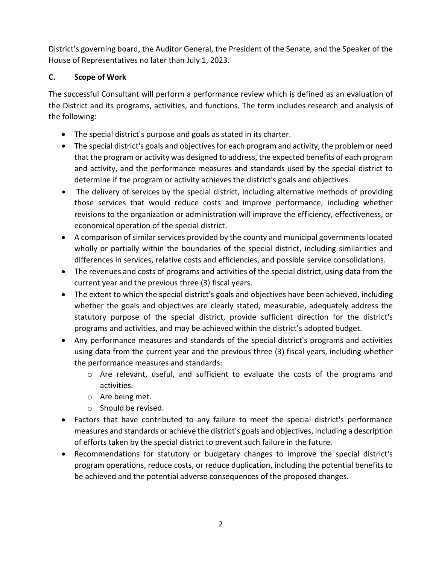District's governing board, the Auditor General, the President of the Senate, and the Speaker of the House of Representatives no later than July 1, 2023.

## **C. Scope of Work**

The successful Consultant will perform a performance review which is defined as an evaluation of the District and its programs, activities, and functions. The term includes research and analysis of the following:

- The special district's purpose and goals as stated in its charter.
- The special district's goals and objectives for each program and activity, the problem or need that the program or activity was designed to address, the expected benefits of each program and activity, and the performance measures and standards used by the special district to determine if the program or activity achieves the district's goals and objectives.
- The delivery of services by the special district, including alternative methods of providing those services that would reduce costs and improve performance, including whether revisions to the organization or administration will improve the efficiency, effectiveness, or economical operation of the special district.
- A comparison of similar services provided by the county and municipal governments located wholly or partially within the boundaries of the special district, including similarities and differences in services, relative costs and efficiencies, and possible service consolidations.
- The revenues and costs of programs and activities of the special district, using data from the current year and the previous three (3) fiscal years.
- The extent to which the special district's goals and objectives have been achieved, including whether the goals and objectives are clearly stated, measurable, adequately address the statutory purpose of the special district, provide sufficient direction for the district's programs and activities, and may be achieved within the district's adopted budget.
- Any performance measures and standards of the special district's programs and activities using data from the current year and the previous three (3) fiscal years, including whether the performance measures and standards:
	- $\circ$  Are relevant, useful, and sufficient to evaluate the costs of the programs and activities.
	- o Are being met.
	- o Should be revised.
- Factors that have contributed to any failure to meet the special district's performance measures and standards or achieve the district's goals and objectives, including a description of efforts taken by the special district to prevent such failure in the future.
- Recommendations for statutory or budgetary changes to improve the special district's program operations, reduce costs, or reduce duplication, including the potential benefits to be achieved and the potential adverse consequences of the proposed changes.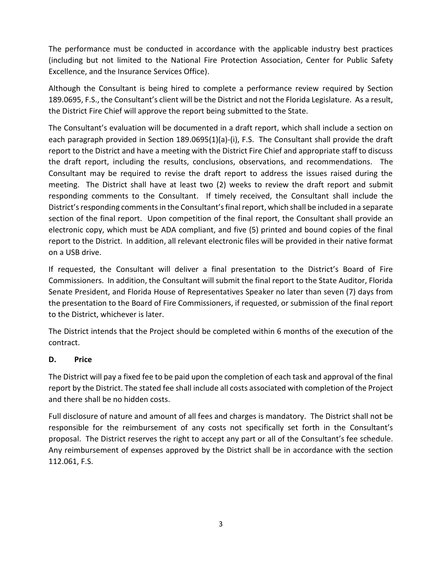The performance must be conducted in accordance with the applicable industry best practices (including but not limited to the National Fire Protection Association, Center for Public Safety Excellence, and the Insurance Services Office).

Although the Consultant is being hired to complete a performance review required by Section 189.0695, F.S., the Consultant's client will be the District and not the Florida Legislature. As a result, the District Fire Chief will approve the report being submitted to the State.

The Consultant's evaluation will be documented in a draft report, which shall include a section on each paragraph provided in Section 189.0695(1)(a)-(i), F.S. The Consultant shall provide the draft report to the District and have a meeting with the District Fire Chief and appropriate staff to discuss the draft report, including the results, conclusions, observations, and recommendations. The Consultant may be required to revise the draft report to address the issues raised during the meeting. The District shall have at least two (2) weeks to review the draft report and submit responding comments to the Consultant. If timely received, the Consultant shall include the District's responding comments in the Consultant's final report, which shall be included in a separate section of the final report. Upon competition of the final report, the Consultant shall provide an electronic copy, which must be ADA compliant, and five (5) printed and bound copies of the final report to the District. In addition, all relevant electronic files will be provided in their native format on a USB drive.

If requested, the Consultant will deliver a final presentation to the District's Board of Fire Commissioners. In addition, the Consultant will submit the final report to the State Auditor, Florida Senate President, and Florida House of Representatives Speaker no later than seven (7) days from the presentation to the Board of Fire Commissioners, if requested, or submission of the final report to the District, whichever is later.

The District intends that the Project should be completed within 6 months of the execution of the contract.

## **D. Price**

The District will pay a fixed fee to be paid upon the completion of each task and approval of the final report by the District. The stated fee shall include all costs associated with completion of the Project and there shall be no hidden costs.

Full disclosure of nature and amount of all fees and charges is mandatory. The District shall not be responsible for the reimbursement of any costs not specifically set forth in the Consultant's proposal. The District reserves the right to accept any part or all of the Consultant's fee schedule. Any reimbursement of expenses approved by the District shall be in accordance with the section 112.061, F.S.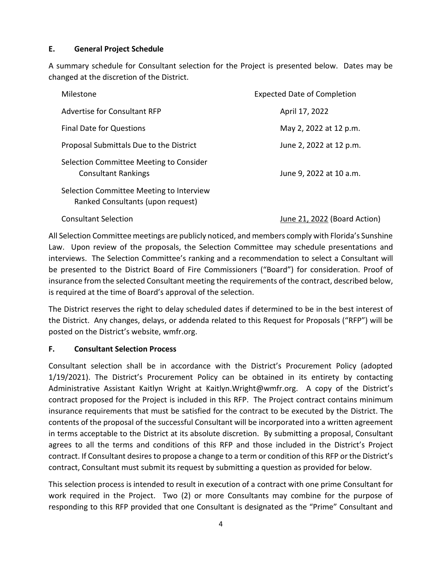## **E. General Project Schedule**

A summary schedule for Consultant selection for the Project is presented below. Dates may be changed at the discretion of the District.

| Milestone                                                                     | <b>Expected Date of Completion</b> |
|-------------------------------------------------------------------------------|------------------------------------|
| Advertise for Consultant RFP                                                  | April 17, 2022                     |
| <b>Final Date for Questions</b>                                               | May 2, 2022 at 12 p.m.             |
| Proposal Submittals Due to the District                                       | June 2, 2022 at 12 p.m.            |
| Selection Committee Meeting to Consider<br><b>Consultant Rankings</b>         | June 9, 2022 at 10 a.m.            |
| Selection Committee Meeting to Interview<br>Ranked Consultants (upon request) |                                    |

Consultant Selection June 21, 2022 (Board Action)

All Selection Committee meetings are publicly noticed, and members comply with Florida's Sunshine Law. Upon review of the proposals, the Selection Committee may schedule presentations and interviews. The Selection Committee's ranking and a recommendation to select a Consultant will be presented to the District Board of Fire Commissioners ("Board") for consideration. Proof of insurance from the selected Consultant meeting the requirements of the contract, described below, is required at the time of Board's approval of the selection.

The District reserves the right to delay scheduled dates if determined to be in the best interest of the District. Any changes, delays, or addenda related to this Request for Proposals ("RFP") will be posted on the District's website, wmfr.org.

## **F. Consultant Selection Process**

Consultant selection shall be in accordance with the District's Procurement Policy (adopted 1/19/2021). The District's Procurement Policy can be obtained in its entirety by contacting Administrative Assistant Kaitlyn Wright at Kaitlyn.Wright@wmfr.org. A copy of the District's contract proposed for the Project is included in this RFP. The Project contract contains minimum insurance requirements that must be satisfied for the contract to be executed by the District. The contents of the proposal of the successful Consultant will be incorporated into a written agreement in terms acceptable to the District at its absolute discretion. By submitting a proposal, Consultant agrees to all the terms and conditions of this RFP and those included in the District's Project contract. If Consultant desires to propose a change to a term or condition of this RFP or the District's contract, Consultant must submit its request by submitting a question as provided for below.

This selection process is intended to result in execution of a contract with one prime Consultant for work required in the Project. Two (2) or more Consultants may combine for the purpose of responding to this RFP provided that one Consultant is designated as the "Prime" Consultant and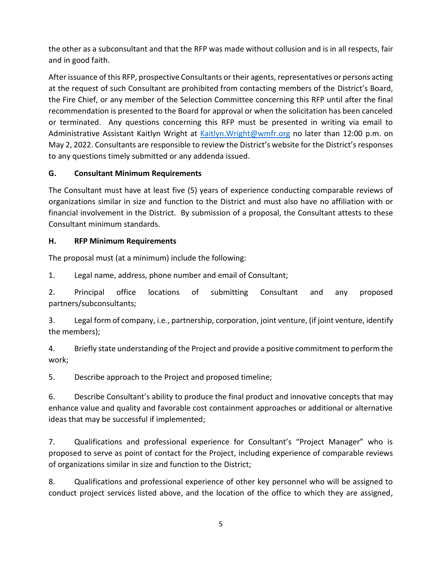the other as a subconsultant and that the RFP was made without collusion and is in all respects, fair and in good faith.

After issuance of this RFP, prospective Consultants or their agents, representatives or persons acting at the request of such Consultant are prohibited from contacting members of the District's Board, the Fire Chief, or any member of the Selection Committee concerning this RFP until after the final recommendation is presented to the Board for approval or when the solicitation has been canceled or terminated. Any questions concerning this RFP must be presented in writing via email to Administrative Assistant Kaitlyn Wright at [Kaitlyn.Wright@wmfr.org](mailto:Kaitlyn.Wright@wmfr.org) no later than 12:00 p.m. on May 2, 2022. Consultants are responsible to review the District's website for the District's responses to any questions timely submitted or any addenda issued.

## **G. Consultant Minimum Requirements**

The Consultant must have at least five (5) years of experience conducting comparable reviews of organizations similar in size and function to the District and must also have no affiliation with or financial involvement in the District. By submission of a proposal, the Consultant attests to these Consultant minimum standards.

## **H. RFP Minimum Requirements**

The proposal must (at a minimum) include the following:

1. Legal name, address, phone number and email of Consultant;

2. Principal office locations of submitting Consultant and any proposed partners/subconsultants;

3. Legal form of company, i.e., partnership, corporation, joint venture, (if joint venture, identify the members);

4. Briefly state understanding of the Project and provide a positive commitment to perform the work;

5. Describe approach to the Project and proposed timeline;

6. Describe Consultant's ability to produce the final product and innovative concepts that may enhance value and quality and favorable cost containment approaches or additional or alternative ideas that may be successful if implemented;

7. Qualifications and professional experience for Consultant's "Project Manager" who is proposed to serve as point of contact for the Project, including experience of comparable reviews of organizations similar in size and function to the District;

8. Qualifications and professional experience of other key personnel who will be assigned to conduct project services listed above, and the location of the office to which they are assigned,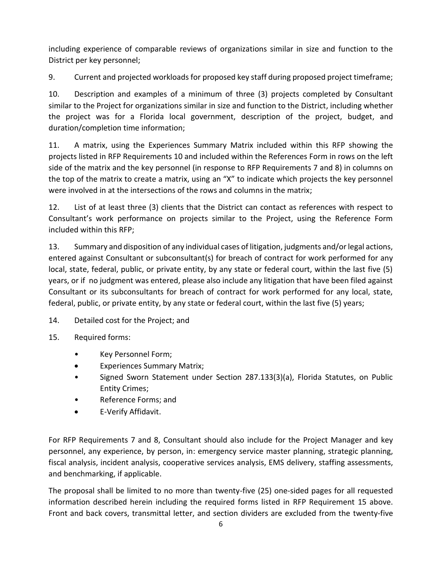including experience of comparable reviews of organizations similar in size and function to the District per key personnel;

9. Current and projected workloads for proposed key staff during proposed project timeframe;

10. Description and examples of a minimum of three (3) projects completed by Consultant similar to the Project for organizations similar in size and function to the District, including whether the project was for a Florida local government, description of the project, budget, and duration/completion time information;

11. A matrix, using the Experiences Summary Matrix included within this RFP showing the projects listed in RFP Requirements 10 and included within the References Form in rows on the left side of the matrix and the key personnel (in response to RFP Requirements 7 and 8) in columns on the top of the matrix to create a matrix, using an "X" to indicate which projects the key personnel were involved in at the intersections of the rows and columns in the matrix;

12. List of at least three (3) clients that the District can contact as references with respect to Consultant's work performance on projects similar to the Project, using the Reference Form included within this RFP;

13. Summary and disposition of any individual cases of litigation, judgments and/or legal actions, entered against Consultant or subconsultant(s) for breach of contract for work performed for any local, state, federal, public, or private entity, by any state or federal court, within the last five (5) years, or if no judgment was entered, please also include any litigation that have been filed against Consultant or its subconsultants for breach of contract for work performed for any local, state, federal, public, or private entity, by any state or federal court, within the last five (5) years;

14. Detailed cost for the Project; and

15. Required forms:

- Key Personnel Form;
- Experiences Summary Matrix;
- Signed Sworn Statement under Section 287.133(3)(a), Florida Statutes, on Public Entity Crimes;
- Reference Forms; and
- E-Verify Affidavit.

For RFP Requirements 7 and 8, Consultant should also include for the Project Manager and key personnel, any experience, by person, in: emergency service master planning, strategic planning, fiscal analysis, incident analysis, cooperative services analysis, EMS delivery, staffing assessments, and benchmarking, if applicable.

The proposal shall be limited to no more than twenty-five (25) one-sided pages for all requested information described herein including the required forms listed in RFP Requirement 15 above. Front and back covers, transmittal letter, and section dividers are excluded from the twenty-five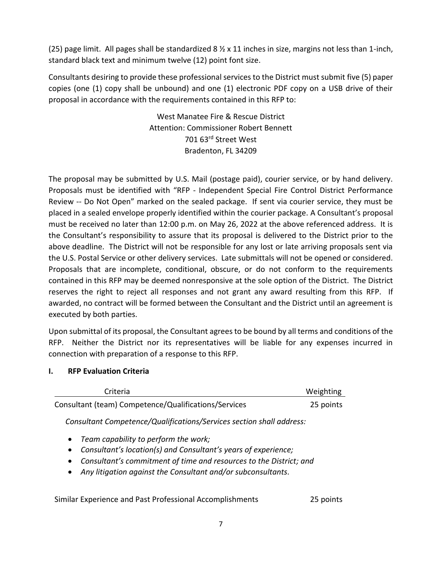(25) page limit. All pages shall be standardized 8  $\frac{1}{2}$  x 11 inches in size, margins not less than 1-inch, standard black text and minimum twelve (12) point font size.

Consultants desiring to provide these professional services to the District must submit five (5) paper copies (one (1) copy shall be unbound) and one (1) electronic PDF copy on a USB drive of their proposal in accordance with the requirements contained in this RFP to:

> West Manatee Fire & Rescue District Attention: Commissioner Robert Bennett 701 63rd Street West Bradenton, FL 34209

The proposal may be submitted by U.S. Mail (postage paid), courier service, or by hand delivery. Proposals must be identified with "RFP - Independent Special Fire Control District Performance Review -- Do Not Open" marked on the sealed package. If sent via courier service, they must be placed in a sealed envelope properly identified within the courier package. A Consultant's proposal must be received no later than 12:00 p.m. on May 26, 2022 at the above referenced address. It is the Consultant's responsibility to assure that its proposal is delivered to the District prior to the above deadline. The District will not be responsible for any lost or late arriving proposals sent via the U.S. Postal Service or other delivery services. Late submittals will not be opened or considered. Proposals that are incomplete, conditional, obscure, or do not conform to the requirements contained in this RFP may be deemed nonresponsive at the sole option of the District. The District reserves the right to reject all responses and not grant any award resulting from this RFP. If awarded, no contract will be formed between the Consultant and the District until an agreement is executed by both parties.

Upon submittal of its proposal, the Consultant agrees to be bound by all terms and conditions of the RFP. Neither the District nor its representatives will be liable for any expenses incurred in connection with preparation of a response to this RFP.

## **I. RFP Evaluation Criteria**

| Criteria                                             | Weighting |
|------------------------------------------------------|-----------|
| Consultant (team) Competence/Qualifications/Services | 25 points |

*Consultant Competence/Qualifications/Services section shall address:*

- *Team capability to perform the work;*
- *Consultant's location(s) and Consultant's years of experience;*
- *Consultant's commitment of time and resources to the District; and*
- *Any litigation against the Consultant and/or subconsultants.*

Similar Experience and Past Professional Accomplishments 25 points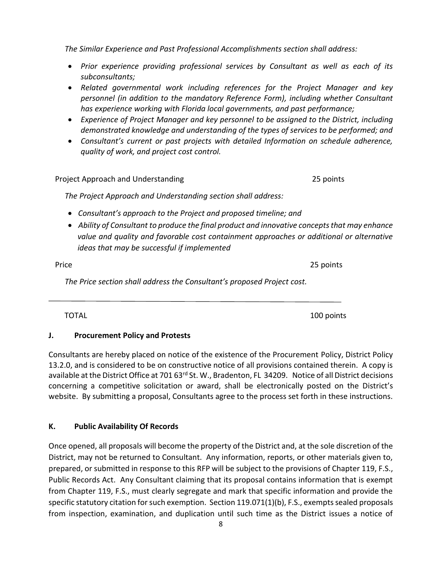from Chapter 119, F.S., must clearly segregate and mark that specific information and provide the

website. By submitting a proposal, Consultants agree to the process set forth in these instructions. **K. Public Availability Of Records** Once opened, all proposals will become the property of the District and, at the sole discretion of the

District, may not be returned to Consultant. Any information, reports, or other materials given to, prepared, or submitted in response to this RFP will be subject to the provisions of Chapter 119, F.S., Public Records Act. Any Consultant claiming that its proposal contains information that is exempt

available at the District Office at 701 63<sup>rd</sup> St. W., Bradenton, FL 34209. Notice of all District decisions concerning a competitive solicitation or award, shall be electronically posted on the District's

# Consultants are hereby placed on notice of the existence of the Procurement Policy, District Policy 13.2.0, and is considered to be on constructive notice of all provisions contained therein. A copy is

**J. Procurement Policy and Protests**

*The Price section shall address the Consultant's proposed Project cost.* 

*ideas that may be successful if implemented*

- 
- *Consultant's approach to the Project and proposed timeline; and*

Price 25 points

- 
- *The Project Approach and Understanding section shall address:*
- 
- 
- • *Ability of Consultant to produce the final product and innovative concepts that may enhance value and quality and favorable cost containment approaches or additional or alternative*

*quality of work, and project cost control.*

*subconsultants;* 

 $\overline{a}$ 

• *Prior experience providing professional services by Consultant as well as each of its* 

*has experience working with Florida local governments, and past performance;* 

• *Related governmental work including references for the Project Manager and key personnel (in addition to the mandatory Reference Form), including whether Consultant* 

• *Experience of Project Manager and key personnel to be assigned to the District, including demonstrated knowledge and understanding of the types of services to be performed; and*  • *Consultant's current or past projects with detailed Information on schedule adherence,* 

*The Similar Experience and Past Professional Accomplishments section shall address:*

TOTAL 100 points and the set of the set of the set of the set of the set of the set of the set of the set of the set of the set of the set of the set of the set of the set of the set of the set of the set of the set of the

Project Approach and Understanding 25 points

8 from inspection, examination, and duplication until such time as the District issues a notice of

specific statutory citation for such exemption. Section 119.071(1)(b), F.S., exempts sealed proposals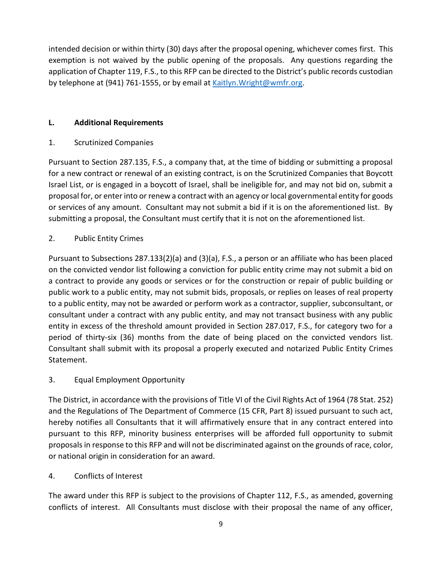intended decision or within thirty (30) days after the proposal opening, whichever comes first. This exemption is not waived by the public opening of the proposals. Any questions regarding the application of Chapter 119, F.S., to this RFP can be directed to the District's public records custodian by telephone at (941) 761-1555, or by email at Kaitlyn. Wright@wmfr.org.

## **L. Additional Requirements**

1. Scrutinized Companies

Pursuant to Section 287.135, F.S., a company that, at the time of bidding or submitting a proposal for a new contract or renewal of an existing contract, is on the Scrutinized Companies that Boycott Israel List, or is engaged in a boycott of Israel, shall be ineligible for, and may not bid on, submit a proposal for, or enter into or renew a contract with an agency or local governmental entity for goods or services of any amount. Consultant may not submit a bid if it is on the aforementioned list. By submitting a proposal, the Consultant must certify that it is not on the aforementioned list.

## 2. Public Entity Crimes

Pursuant to Subsections 287.133(2)(a) and (3)(a), F.S., a person or an affiliate who has been placed on the convicted vendor list following a conviction for public entity crime may not submit a bid on a contract to provide any goods or services or for the construction or repair of public building or public work to a public entity, may not submit bids, proposals, or replies on leases of real property to a public entity, may not be awarded or perform work as a contractor, supplier, subconsultant, or consultant under a contract with any public entity, and may not transact business with any public entity in excess of the threshold amount provided in Section 287.017, F.S., for category two for a period of thirty-six (36) months from the date of being placed on the convicted vendors list. Consultant shall submit with its proposal a properly executed and notarized Public Entity Crimes Statement.

## 3. Equal Employment Opportunity

The District, in accordance with the provisions of Title VI of the Civil Rights Act of 1964 (78 Stat. 252) and the Regulations of The Department of Commerce (15 CFR, Part 8) issued pursuant to such act, hereby notifies all Consultants that it will affirmatively ensure that in any contract entered into pursuant to this RFP, minority business enterprises will be afforded full opportunity to submit proposals in response to this RFP and will not be discriminated against on the grounds of race, color, or national origin in consideration for an award.

## 4. Conflicts of Interest

The award under this RFP is subject to the provisions of Chapter 112, F.S., as amended, governing conflicts of interest. All Consultants must disclose with their proposal the name of any officer,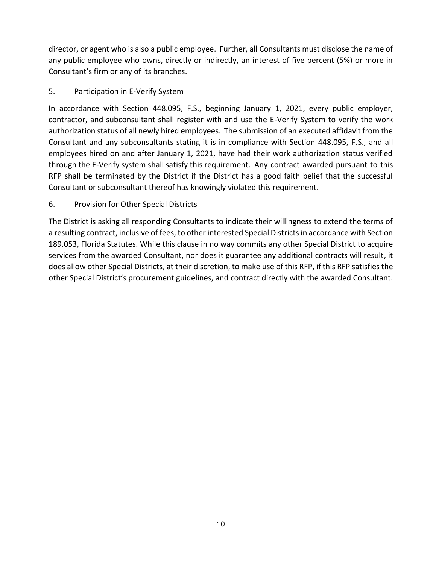director, or agent who is also a public employee. Further, all Consultants must disclose the name of any public employee who owns, directly or indirectly, an interest of five percent (5%) or more in Consultant's firm or any of its branches.

## 5. Participation in E-Verify System

In accordance with Section 448.095, F.S., beginning January 1, 2021, every public employer, contractor, and subconsultant shall register with and use the E-Verify System to verify the work authorization status of all newly hired employees. The submission of an executed affidavit from the Consultant and any subconsultants stating it is in compliance with Section 448.095, F.S., and all employees hired on and after January 1, 2021, have had their work authorization status verified through the E-Verify system shall satisfy this requirement. Any contract awarded pursuant to this RFP shall be terminated by the District if the District has a good faith belief that the successful Consultant or subconsultant thereof has knowingly violated this requirement.

## 6. Provision for Other Special Districts

The District is asking all responding Consultants to indicate their willingness to extend the terms of a resulting contract, inclusive of fees, to other interested Special Districtsin accordance with Section 189.053, Florida Statutes. While this clause in no way commits any other Special District to acquire services from the awarded Consultant, nor does it guarantee any additional contracts will result, it does allow other Special Districts, at their discretion, to make use of this RFP, if this RFP satisfies the other Special District's procurement guidelines, and contract directly with the awarded Consultant.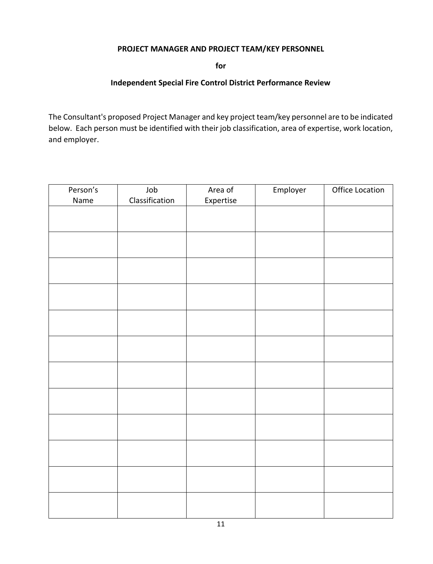## **PROJECT MANAGER AND PROJECT TEAM/KEY PERSONNEL**

**for**

## **Independent Special Fire Control District Performance Review**

The Consultant's proposed Project Manager and key project team/key personnel are to be indicated below. Each person must be identified with their job classification, area of expertise, work location, and employer.

| Person's | Job            | Area of   | Employer | Office Location |
|----------|----------------|-----------|----------|-----------------|
| Name     | Classification | Expertise |          |                 |
|          |                |           |          |                 |
|          |                |           |          |                 |
|          |                |           |          |                 |
|          |                |           |          |                 |
|          |                |           |          |                 |
|          |                |           |          |                 |
|          |                |           |          |                 |
|          |                |           |          |                 |
|          |                |           |          |                 |
|          |                |           |          |                 |
|          |                |           |          |                 |
|          |                |           |          |                 |
|          |                |           |          |                 |
|          |                |           |          |                 |
|          |                |           |          |                 |
|          |                |           |          |                 |
|          |                |           |          |                 |
|          |                |           |          |                 |
|          |                |           |          |                 |
|          |                |           |          |                 |
|          |                |           |          |                 |
|          |                |           |          |                 |
|          |                |           |          |                 |
|          |                |           |          |                 |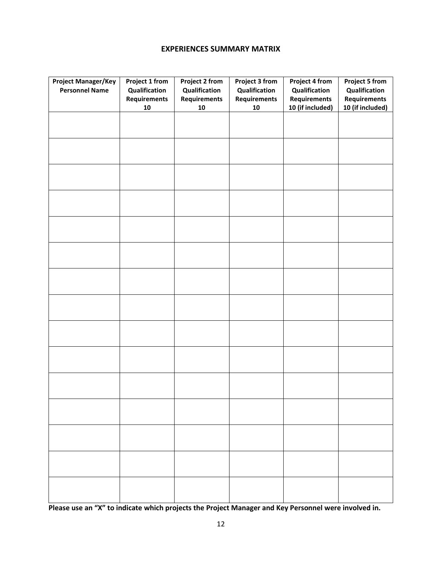## **EXPERIENCES SUMMARY MATRIX**

| <b>Project Manager/Key</b><br><b>Personnel Name</b> | Project 1 from<br>Qualification<br><b>Requirements</b><br>${\bf 10}$ | <b>Project 2 from</b><br>Qualification<br>Requirements<br>${\bf 10}$ | Project 3 from<br>Qualification<br>Requirements<br>${\bf 10}$ | Project 4 from<br>Qualification<br><b>Requirements</b><br>10 (if included) | <b>Project 5 from</b><br>Qualification<br><b>Requirements</b><br>10 (if included) |
|-----------------------------------------------------|----------------------------------------------------------------------|----------------------------------------------------------------------|---------------------------------------------------------------|----------------------------------------------------------------------------|-----------------------------------------------------------------------------------|
|                                                     |                                                                      |                                                                      |                                                               |                                                                            |                                                                                   |
|                                                     |                                                                      |                                                                      |                                                               |                                                                            |                                                                                   |
|                                                     |                                                                      |                                                                      |                                                               |                                                                            |                                                                                   |
|                                                     |                                                                      |                                                                      |                                                               |                                                                            |                                                                                   |
|                                                     |                                                                      |                                                                      |                                                               |                                                                            |                                                                                   |
|                                                     |                                                                      |                                                                      |                                                               |                                                                            |                                                                                   |
|                                                     |                                                                      |                                                                      |                                                               |                                                                            |                                                                                   |
|                                                     |                                                                      |                                                                      |                                                               |                                                                            |                                                                                   |
|                                                     |                                                                      |                                                                      |                                                               |                                                                            |                                                                                   |
|                                                     |                                                                      |                                                                      |                                                               |                                                                            |                                                                                   |
|                                                     |                                                                      |                                                                      |                                                               |                                                                            |                                                                                   |
|                                                     |                                                                      |                                                                      |                                                               |                                                                            |                                                                                   |
|                                                     |                                                                      |                                                                      |                                                               |                                                                            |                                                                                   |
|                                                     |                                                                      |                                                                      |                                                               |                                                                            |                                                                                   |
|                                                     |                                                                      |                                                                      |                                                               |                                                                            |                                                                                   |

**Please use an "X" to indicate which projects the Project Manager and Key Personnel were involved in.**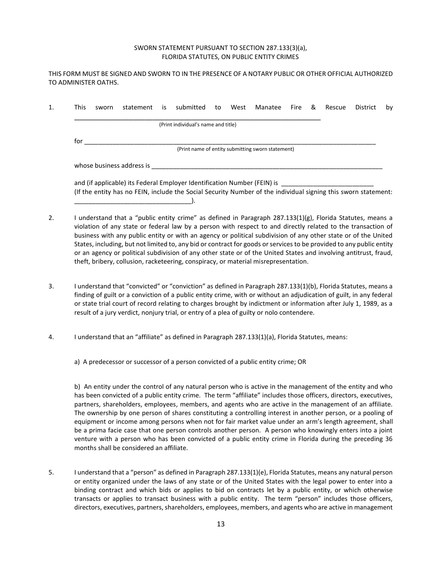#### SWORN STATEMENT PURSUANT TO SECTION 287.133(3)(a), FLORIDA STATUTES, ON PUBLIC ENTITY CRIMES

THIS FORM MUST BE SIGNED AND SWORN TO IN THE PRESENCE OF A NOTARY PUBLIC OR OTHER OFFICIAL AUTHORIZED TO ADMINISTER OATHS.

| This | sworn | statement                                                                                                      | İS | submitted                           | to | West | Manatee                                           | Fire | & | Rescue | District | by |
|------|-------|----------------------------------------------------------------------------------------------------------------|----|-------------------------------------|----|------|---------------------------------------------------|------|---|--------|----------|----|
|      |       |                                                                                                                |    | (Print individual's name and title) |    |      |                                                   |      |   |        |          |    |
| for  |       |                                                                                                                |    |                                     |    |      |                                                   |      |   |        |          |    |
|      |       |                                                                                                                |    |                                     |    |      | (Print name of entity submitting sworn statement) |      |   |        |          |    |
|      |       | whose business address is                                                                                      |    |                                     |    |      |                                                   |      |   |        |          |    |
|      |       | and (if applicable) its Federal Employer Identification Number (FEIN) is                                       |    |                                     |    |      |                                                   |      |   |        |          |    |
|      |       | (If the entity has no FEIN, include the Social Security Number of the individual signing this sworn statement: |    |                                     |    |      |                                                   |      |   |        |          |    |
|      |       |                                                                                                                |    |                                     |    |      |                                                   |      |   |        |          |    |

- 2. I understand that a "public entity crime" as defined in Paragraph 287.133(1)(g), Florida Statutes, means a violation of any state or federal law by a person with respect to and directly related to the transaction of business with any public entity or with an agency or political subdivision of any other state or of the United States, including, but not limited to, any bid or contract for goods or services to be provided to any public entity or an agency or political subdivision of any other state or of the United States and involving antitrust, fraud, theft, bribery, collusion, racketeering, conspiracy, or material misrepresentation.
- 3. I understand that "convicted" or "conviction" as defined in Paragraph 287.133(1)(b), Florida Statutes, means a finding of guilt or a conviction of a public entity crime, with or without an adjudication of guilt, in any federal or state trial court of record relating to charges brought by indictment or information after July 1, 1989, as a result of a jury verdict, nonjury trial, or entry of a plea of guilty or nolo contendere.
- 4. I understand that an "affiliate" as defined in Paragraph 287.133(1)(a), Florida Statutes, means:

a) A predecessor or successor of a person convicted of a public entity crime; OR

b) An entity under the control of any natural person who is active in the management of the entity and who has been convicted of a public entity crime. The term "affiliate" includes those officers, directors, executives, partners, shareholders, employees, members, and agents who are active in the management of an affiliate. The ownership by one person of shares constituting a controlling interest in another person, or a pooling of equipment or income among persons when not for fair market value under an arm's length agreement, shall be a prima facie case that one person controls another person. A person who knowingly enters into a joint venture with a person who has been convicted of a public entity crime in Florida during the preceding 36 months shall be considered an affiliate.

5. I understand that a "person" as defined in Paragraph 287.133(1)(e), Florida Statutes, means any natural person or entity organized under the laws of any state or of the United States with the legal power to enter into a binding contract and which bids or applies to bid on contracts let by a public entity, or which otherwise transacts or applies to transact business with a public entity. The term "person" includes those officers, directors, executives, partners, shareholders, employees, members, and agents who are active in management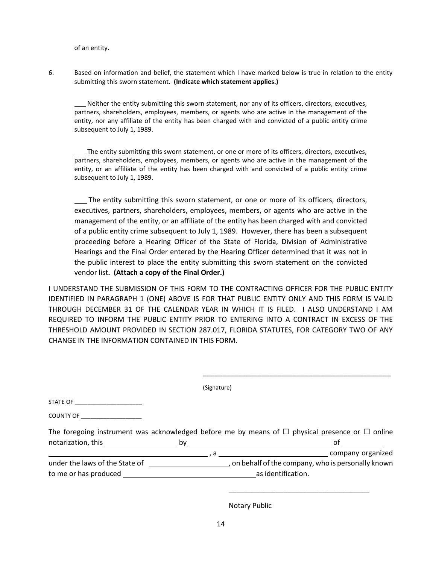of an entity.

6. Based on information and belief, the statement which I have marked below is true in relation to the entity submitting this sworn statement. **(Indicate which statement applies.)**

 Neither the entity submitting this sworn statement, nor any of its officers, directors, executives, partners, shareholders, employees, members, or agents who are active in the management of the entity, nor any affiliate of the entity has been charged with and convicted of a public entity crime subsequent to July 1, 1989.

 The entity submitting this sworn statement, or one or more of its officers, directors, executives, partners, shareholders, employees, members, or agents who are active in the management of the entity, or an affiliate of the entity has been charged with and convicted of a public entity crime subsequent to July 1, 1989.

 The entity submitting this sworn statement, or one or more of its officers, directors, executives, partners, shareholders, employees, members, or agents who are active in the management of the entity, or an affiliate of the entity has been charged with and convicted of a public entity crime subsequent to July 1, 1989. However, there has been a subsequent proceeding before a Hearing Officer of the State of Florida, Division of Administrative Hearings and the Final Order entered by the Hearing Officer determined that it was not in the public interest to place the entity submitting this sworn statement on the convicted vendor list**. (Attach a copy of the Final Order.)**

I UNDERSTAND THE SUBMISSION OF THIS FORM TO THE CONTRACTING OFFICER FOR THE PUBLIC ENTITY IDENTIFIED IN PARAGRAPH 1 (ONE) ABOVE IS FOR THAT PUBLIC ENTITY ONLY AND THIS FORM IS VALID THROUGH DECEMBER 31 OF THE CALENDAR YEAR IN WHICH IT IS FILED. I ALSO UNDERSTAND I AM REQUIRED TO INFORM THE PUBLIC ENTITY PRIOR TO ENTERING INTO A CONTRACT IN EXCESS OF THE THRESHOLD AMOUNT PROVIDED IN SECTION 287.017, FLORIDA STATUTES, FOR CATEGORY TWO OF ANY CHANGE IN THE INFORMATION CONTAINED IN THIS FORM.

| The foregoing instrument was acknowledged before me by means of $\Box$ physical presence or $\Box$ online |
|-----------------------------------------------------------------------------------------------------------|
|                                                                                                           |
| , on behalf of the company, who is personally known                                                       |
|                                                                                                           |
|                                                                                                           |

Notary Public

\_\_\_\_\_\_\_\_\_\_\_\_\_\_\_\_\_\_\_\_\_\_\_\_\_\_\_\_\_\_\_\_\_\_\_\_\_\_\_\_\_\_\_\_\_\_\_\_

\_\_\_\_\_\_\_\_\_\_\_\_\_\_\_\_\_\_\_\_\_\_\_\_\_\_\_\_\_\_\_\_\_\_\_\_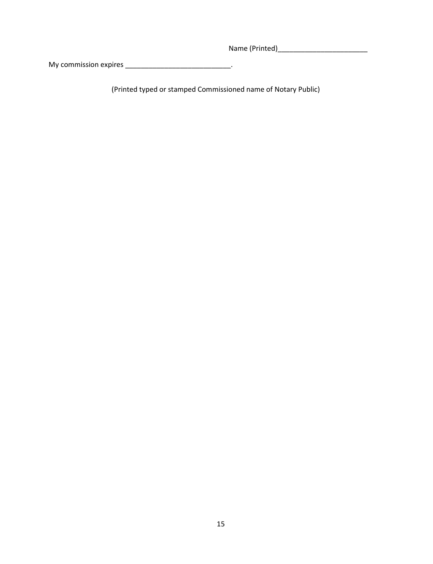Name (Printed)\_\_\_\_\_\_\_\_\_\_\_\_\_\_\_\_\_\_\_\_\_\_\_

My commission expires \_\_\_\_\_\_\_\_\_\_\_\_\_\_\_\_\_\_\_\_\_\_\_\_\_\_\_.

(Printed typed or stamped Commissioned name of Notary Public)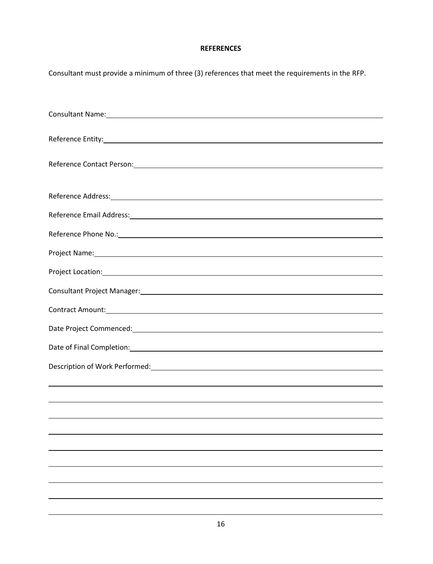## **REFERENCES**

| Consultant must provide a minimum of three (3) references that meet the requirements in the RFP.                                                                                                                                 |
|----------------------------------------------------------------------------------------------------------------------------------------------------------------------------------------------------------------------------------|
| Consultant Name: example, and the set of the set of the set of the set of the set of the set of the set of the                                                                                                                   |
|                                                                                                                                                                                                                                  |
| Reference Contact Person: 2008 2009 2010 2020 2020 2021 2022 2023 2024 2022 2022 2023 2024 2022 2023 2024 2022                                                                                                                   |
|                                                                                                                                                                                                                                  |
|                                                                                                                                                                                                                                  |
| Reference Phone No.: New York Contract the Contract of the Contract of the Contract of the Contract of the Contract of the Contract of the Contract of the Contract of the Contract of the Contract of the Contract of the Con   |
| Project Name: 1990 and 2000 and 2000 and 2000 and 2000 and 2000 and 2000 and 2000 and 2000 and 2000 and 2000 and 2000 and 2000 and 2000 and 2000 and 2000 and 2000 and 2000 and 2000 and 2000 and 2000 and 2000 and 2000 and 2   |
|                                                                                                                                                                                                                                  |
|                                                                                                                                                                                                                                  |
| Contract Amount: 2008 Contract Amount: 2008 Contract Amount: 2008 Contract Amount:                                                                                                                                               |
|                                                                                                                                                                                                                                  |
|                                                                                                                                                                                                                                  |
| Description of Work Performed:<br>Letter and the contract of the contract of the contract of the contract of the contract of the contract of the contract of the contract of the contract of the contract of the contract of the |
|                                                                                                                                                                                                                                  |
|                                                                                                                                                                                                                                  |
|                                                                                                                                                                                                                                  |
|                                                                                                                                                                                                                                  |
|                                                                                                                                                                                                                                  |
|                                                                                                                                                                                                                                  |
|                                                                                                                                                                                                                                  |
|                                                                                                                                                                                                                                  |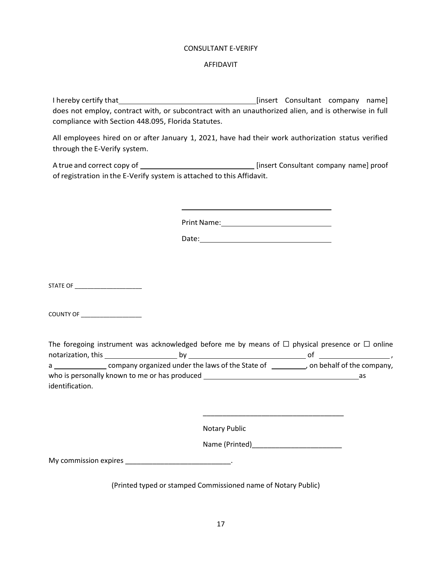#### CONSULTANT E-VERIFY

#### AFFIDAVIT

I hereby certify that [insert Consultant company name] does not employ, contract with, or subcontract with an unauthorized alien, and is otherwise in full compliance with Section 448.095, Florida Statutes.

All employees hired on or after January 1, 2021, have had their work authorization status verified through the E-Verify system.

A true and correct copy of \_\_\_\_\_\_\_\_\_\_\_\_\_\_\_\_\_\_\_\_\_\_\_\_\_\_\_\_\_\_\_\_\_\_ [insert Consultant company name] proof of registration in the E-Verify system is attached to this Affidavit.

Print Name: 1988 and 2008 and 2008 and 2008 and 2008 and 2008 and 2008 and 2008 and 2008 and 2008 and 2008 and 2008 and 2008 and 2008 and 2008 and 2008 and 2008 and 2008 and 2008 and 2008 and 2008 and 2008 and 2008 and 200

Date:

STATE OF \_\_\_\_\_\_\_\_\_\_\_\_\_\_\_\_\_\_\_\_\_

COUNTY OF **EXECUTE A** 

|                                 | The foregoing instrument was acknowledged before me by means of $\Box$ physical presence or $\Box$ online |                             |
|---------------------------------|-----------------------------------------------------------------------------------------------------------|-----------------------------|
| notarization, this notarization | bv                                                                                                        |                             |
| a a                             | company organized under the laws of the State of                                                          | , on behalf of the company, |
|                                 | who is personally known to me or has produced                                                             | as                          |
| identification.                 |                                                                                                           |                             |

Notary Public

Name (Printed)

\_\_\_\_\_\_\_\_\_\_\_\_\_\_\_\_\_\_\_\_\_\_\_\_\_\_\_\_\_\_\_\_\_\_\_\_

My commission expires \_\_\_\_\_\_\_\_\_\_\_\_\_\_\_\_\_\_\_\_\_\_\_\_\_\_\_\_\_\_\_\_\_.

(Printed typed or stamped Commissioned name of Notary Public)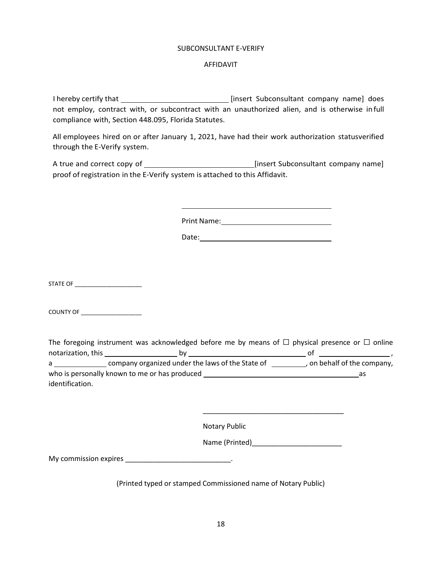#### SUBCONSULTANT E-VERIFY

#### AFFIDAVIT

I hereby certify that **insert Subconsultant company name** does not employ, contract with, or subcontract with an unauthorized alien, and is otherwise in full compliance with, Section 448.095, Florida Statutes.

All employees hired on or after January 1, 2021, have had their work authorization statusverified through the E-Verify system.

A true and correct copy of [insert Subconsultant company name] proof of registration in the E-Verify system is attached to this Affidavit.

Print Name:

Date:

STATE OF

COUNTY OF

|                                     | The foregoing instrument was acknowledged before me by means of $\Box$ physical presence or $\Box$ online |    |                             |
|-------------------------------------|-----------------------------------------------------------------------------------------------------------|----|-----------------------------|
| notarization, this ________________ |                                                                                                           | O1 |                             |
| a                                   | company organized under the laws of the State of                                                          |    | , on behalf of the company, |
|                                     | who is personally known to me or has produced                                                             |    | as                          |
| identification.                     |                                                                                                           |    |                             |

Notary Public

Name (Printed)\_\_\_\_\_\_\_\_\_\_\_\_\_\_\_\_\_\_\_\_\_\_\_

\_\_\_\_\_\_\_\_\_\_\_\_\_\_\_\_\_\_\_\_\_\_\_\_\_\_\_\_\_\_\_\_\_\_\_\_

My commission expires \_\_\_\_\_\_\_\_\_\_\_\_\_\_\_\_\_\_\_\_\_\_\_\_\_\_\_\_\_\_\_\_\_.

(Printed typed or stamped Commissioned name of Notary Public)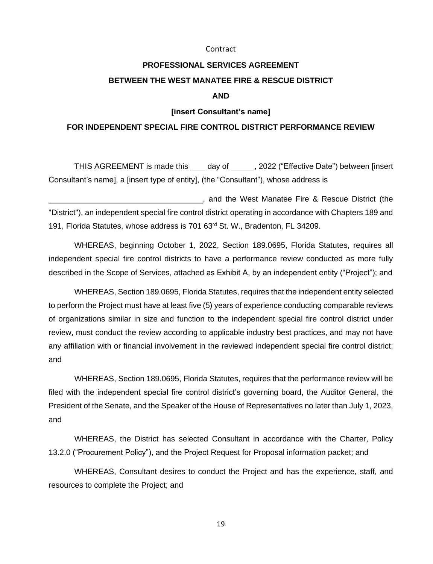#### Contract

# **PROFESSIONAL SERVICES AGREEMENT BETWEEN THE WEST MANATEE FIRE & RESCUE DISTRICT**

## **AND**

#### **[insert Consultant's name]**

#### **FOR INDEPENDENT SPECIAL FIRE CONTROL DISTRICT PERFORMANCE REVIEW**

THIS AGREEMENT is made this day of , 2022 ("Effective Date") between [insert Consultant's name], a [insert type of entity], (the "Consultant"), whose address is

, and the West Manatee Fire & Rescue District (the "District"), an independent special fire control district operating in accordance with Chapters 189 and 191, Florida Statutes, whose address is 701 63rd St. W., Bradenton, FL 34209.

WHEREAS, beginning October 1, 2022, Section 189.0695, Florida Statutes, requires all independent special fire control districts to have a performance review conducted as more fully described in the Scope of Services, attached as Exhibit A, by an independent entity ("Project"); and

WHEREAS, Section 189.0695, Florida Statutes, requires that the independent entity selected to perform the Project must have at least five (5) years of experience conducting comparable reviews of organizations similar in size and function to the independent special fire control district under review, must conduct the review according to applicable industry best practices, and may not have any affiliation with or financial involvement in the reviewed independent special fire control district; and

WHEREAS, Section 189.0695, Florida Statutes, requires that the performance review will be filed with the independent special fire control district's governing board, the Auditor General, the President of the Senate, and the Speaker of the House of Representatives no later than July 1, 2023, and

WHEREAS, the District has selected Consultant in accordance with the Charter, Policy 13.2.0 ("Procurement Policy"), and the Project Request for Proposal information packet; and

WHEREAS, Consultant desires to conduct the Project and has the experience, staff, and resources to complete the Project; and

19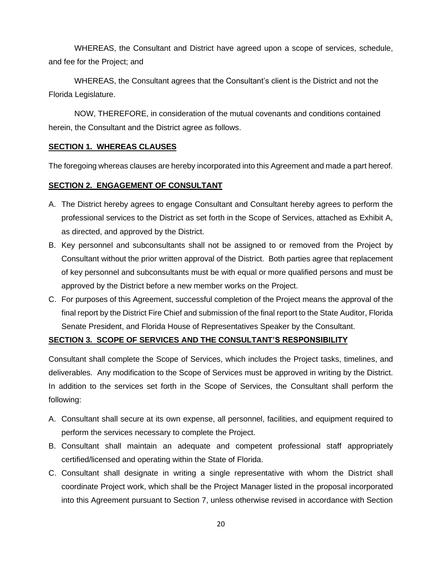WHEREAS, the Consultant and District have agreed upon a scope of services, schedule, and fee for the Project; and

WHEREAS, the Consultant agrees that the Consultant's client is the District and not the Florida Legislature.

NOW, THEREFORE, in consideration of the mutual covenants and conditions contained herein, the Consultant and the District agree as follows.

## **SECTION 1. WHEREAS CLAUSES**

The foregoing whereas clauses are hereby incorporated into this Agreement and made a part hereof.

## **SECTION 2. ENGAGEMENT OF CONSULTANT**

- A. The District hereby agrees to engage Consultant and Consultant hereby agrees to perform the professional services to the District as set forth in the Scope of Services, attached as Exhibit A, as directed, and approved by the District.
- B. Key personnel and subconsultants shall not be assigned to or removed from the Project by Consultant without the prior written approval of the District. Both parties agree that replacement of key personnel and subconsultants must be with equal or more qualified persons and must be approved by the District before a new member works on the Project.
- C. For purposes of this Agreement, successful completion of the Project means the approval of the final report by the District Fire Chief and submission of the final report to the State Auditor, Florida Senate President, and Florida House of Representatives Speaker by the Consultant.

## **SECTION 3. SCOPE OF SERVICES AND THE CONSULTANT'S RESPONSIBILITY**

Consultant shall complete the Scope of Services, which includes the Project tasks, timelines, and deliverables. Any modification to the Scope of Services must be approved in writing by the District. In addition to the services set forth in the Scope of Services, the Consultant shall perform the following:

- A. Consultant shall secure at its own expense, all personnel, facilities, and equipment required to perform the services necessary to complete the Project.
- B. Consultant shall maintain an adequate and competent professional staff appropriately certified/licensed and operating within the State of Florida.
- C. Consultant shall designate in writing a single representative with whom the District shall coordinate Project work, which shall be the Project Manager listed in the proposal incorporated into this Agreement pursuant to Section 7, unless otherwise revised in accordance with Section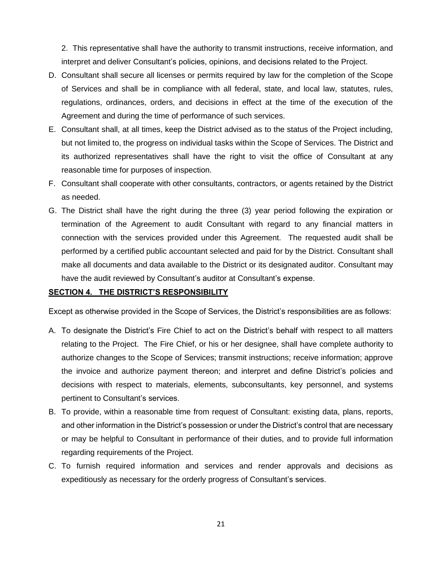2. This representative shall have the authority to transmit instructions, receive information, and interpret and deliver Consultant's policies, opinions, and decisions related to the Project.

- D. Consultant shall secure all licenses or permits required by law for the completion of the Scope of Services and shall be in compliance with all federal, state, and local law, statutes, rules, regulations, ordinances, orders, and decisions in effect at the time of the execution of the Agreement and during the time of performance of such services.
- E. Consultant shall, at all times, keep the District advised as to the status of the Project including, but not limited to, the progress on individual tasks within the Scope of Services. The District and its authorized representatives shall have the right to visit the office of Consultant at any reasonable time for purposes of inspection.
- F. Consultant shall cooperate with other consultants, contractors, or agents retained by the District as needed.
- G. The District shall have the right during the three (3) year period following the expiration or termination of the Agreement to audit Consultant with regard to any financial matters in connection with the services provided under this Agreement. The requested audit shall be performed by a certified public accountant selected and paid for by the District. Consultant shall make all documents and data available to the District or its designated auditor. Consultant may have the audit reviewed by Consultant's auditor at Consultant's expense.

#### **SECTION 4. THE DISTRICT'S RESPONSIBILITY**

Except as otherwise provided in the Scope of Services, the District's responsibilities are as follows:

- A. To designate the District's Fire Chief to act on the District's behalf with respect to all matters relating to the Project. The Fire Chief, or his or her designee, shall have complete authority to authorize changes to the Scope of Services; transmit instructions; receive information; approve the invoice and authorize payment thereon; and interpret and define District's policies and decisions with respect to materials, elements, subconsultants, key personnel, and systems pertinent to Consultant's services.
- B. To provide, within a reasonable time from request of Consultant: existing data, plans, reports, and other information in the District's possession or under the District's control that are necessary or may be helpful to Consultant in performance of their duties, and to provide full information regarding requirements of the Project.
- C. To furnish required information and services and render approvals and decisions as expeditiously as necessary for the orderly progress of Consultant's services.

21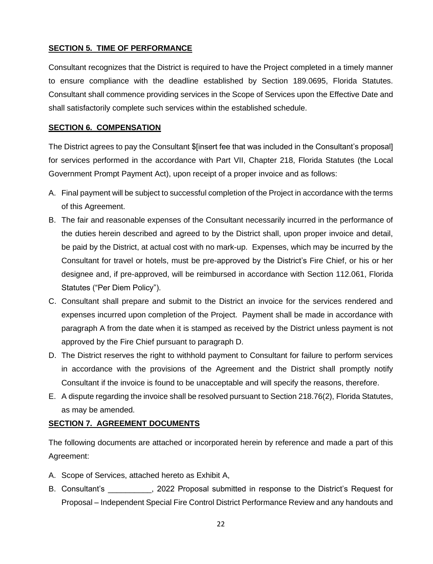## **SECTION 5. TIME OF PERFORMANCE**

Consultant recognizes that the District is required to have the Project completed in a timely manner to ensure compliance with the deadline established by Section 189.0695, Florida Statutes. Consultant shall commence providing services in the Scope of Services upon the Effective Date and shall satisfactorily complete such services within the established schedule.

## **SECTION 6. COMPENSATION**

The District agrees to pay the Consultant \$[insert fee that was included in the Consultant's proposal] for services performed in the accordance with Part VII, Chapter 218, Florida Statutes (the Local Government Prompt Payment Act), upon receipt of a proper invoice and as follows:

- A. Final payment will be subject to successful completion of the Project in accordance with the terms of this Agreement.
- B. The fair and reasonable expenses of the Consultant necessarily incurred in the performance of the duties herein described and agreed to by the District shall, upon proper invoice and detail, be paid by the District, at actual cost with no mark-up. Expenses, which may be incurred by the Consultant for travel or hotels, must be pre-approved by the District's Fire Chief, or his or her designee and, if pre-approved, will be reimbursed in accordance with Section 112.061, Florida Statutes ("Per Diem Policy").
- C. Consultant shall prepare and submit to the District an invoice for the services rendered and expenses incurred upon completion of the Project. Payment shall be made in accordance with paragraph A from the date when it is stamped as received by the District unless payment is not approved by the Fire Chief pursuant to paragraph D.
- D. The District reserves the right to withhold payment to Consultant for failure to perform services in accordance with the provisions of the Agreement and the District shall promptly notify Consultant if the invoice is found to be unacceptable and will specify the reasons, therefore.
- E. A dispute regarding the invoice shall be resolved pursuant to Section 218.76(2), Florida Statutes, as may be amended.

## **SECTION 7. AGREEMENT DOCUMENTS**

The following documents are attached or incorporated herein by reference and made a part of this Agreement:

- A. Scope of Services, attached hereto as Exhibit A,
- B. Consultant's **Example 2022** Proposal submitted in response to the District's Request for Proposal – Independent Special Fire Control District Performance Review and any handouts and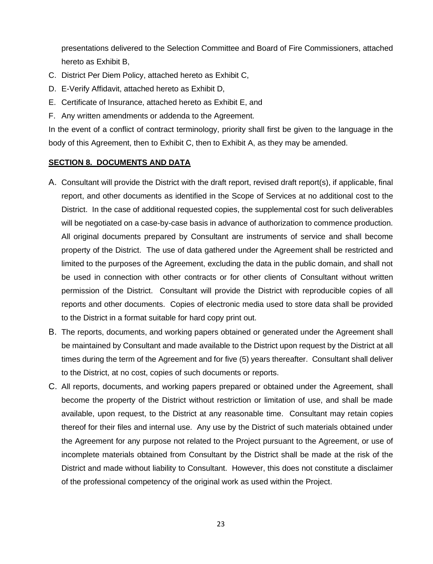presentations delivered to the Selection Committee and Board of Fire Commissioners, attached hereto as Exhibit B,

- C. District Per Diem Policy, attached hereto as Exhibit C,
- D. E-Verify Affidavit, attached hereto as Exhibit D,
- E. Certificate of Insurance, attached hereto as Exhibit E, and
- F. Any written amendments or addenda to the Agreement.

In the event of a conflict of contract terminology, priority shall first be given to the language in the body of this Agreement, then to Exhibit C, then to Exhibit A, as they may be amended.

## **SECTION 8. DOCUMENTS AND DATA**

- A. Consultant will provide the District with the draft report, revised draft report(s), if applicable, final report, and other documents as identified in the Scope of Services at no additional cost to the District. In the case of additional requested copies, the supplemental cost for such deliverables will be negotiated on a case-by-case basis in advance of authorization to commence production. All original documents prepared by Consultant are instruments of service and shall become property of the District. The use of data gathered under the Agreement shall be restricted and limited to the purposes of the Agreement, excluding the data in the public domain, and shall not be used in connection with other contracts or for other clients of Consultant without written permission of the District. Consultant will provide the District with reproducible copies of all reports and other documents. Copies of electronic media used to store data shall be provided to the District in a format suitable for hard copy print out.
- B. The reports, documents, and working papers obtained or generated under the Agreement shall be maintained by Consultant and made available to the District upon request by the District at all times during the term of the Agreement and for five (5) years thereafter. Consultant shall deliver to the District, at no cost, copies of such documents or reports.
- C. All reports, documents, and working papers prepared or obtained under the Agreement, shall become the property of the District without restriction or limitation of use, and shall be made available, upon request, to the District at any reasonable time. Consultant may retain copies thereof for their files and internal use. Any use by the District of such materials obtained under the Agreement for any purpose not related to the Project pursuant to the Agreement, or use of incomplete materials obtained from Consultant by the District shall be made at the risk of the District and made without liability to Consultant. However, this does not constitute a disclaimer of the professional competency of the original work as used within the Project.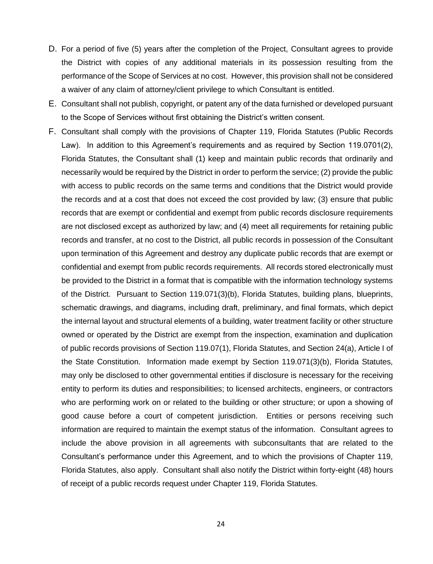- D. For a period of five (5) years after the completion of the Project, Consultant agrees to provide the District with copies of any additional materials in its possession resulting from the performance of the Scope of Services at no cost. However, this provision shall not be considered a waiver of any claim of attorney/client privilege to which Consultant is entitled.
- E. Consultant shall not publish, copyright, or patent any of the data furnished or developed pursuant to the Scope of Services without first obtaining the District's written consent.
- F. Consultant shall comply with the provisions of Chapter 119, Florida Statutes (Public Records Law). In addition to this Agreement's requirements and as required by Section 119.0701(2), Florida Statutes, the Consultant shall (1) keep and maintain public records that ordinarily and necessarily would be required by the District in order to perform the service; (2) provide the public with access to public records on the same terms and conditions that the District would provide the records and at a cost that does not exceed the cost provided by law; (3) ensure that public records that are exempt or confidential and exempt from public records disclosure requirements are not disclosed except as authorized by law; and (4) meet all requirements for retaining public records and transfer, at no cost to the District, all public records in possession of the Consultant upon termination of this Agreement and destroy any duplicate public records that are exempt or confidential and exempt from public records requirements. All records stored electronically must be provided to the District in a format that is compatible with the information technology systems of the District. Pursuant to Section 119.071(3)(b), Florida Statutes, building plans, blueprints, schematic drawings, and diagrams, including draft, preliminary, and final formats, which depict the internal layout and structural elements of a building, water treatment facility or other structure owned or operated by the District are exempt from the inspection, examination and duplication of public records provisions of Section 119.07(1), Florida Statutes, and Section 24(a), Article I of the State Constitution. Information made exempt by Section 119.071(3)(b), Florida Statutes, may only be disclosed to other governmental entities if disclosure is necessary for the receiving entity to perform its duties and responsibilities; to licensed architects, engineers, or contractors who are performing work on or related to the building or other structure; or upon a showing of good cause before a court of competent jurisdiction. Entities or persons receiving such information are required to maintain the exempt status of the information. Consultant agrees to include the above provision in all agreements with subconsultants that are related to the Consultant's performance under this Agreement, and to which the provisions of Chapter 119, Florida Statutes, also apply. Consultant shall also notify the District within forty-eight (48) hours of receipt of a public records request under Chapter 119, Florida Statutes.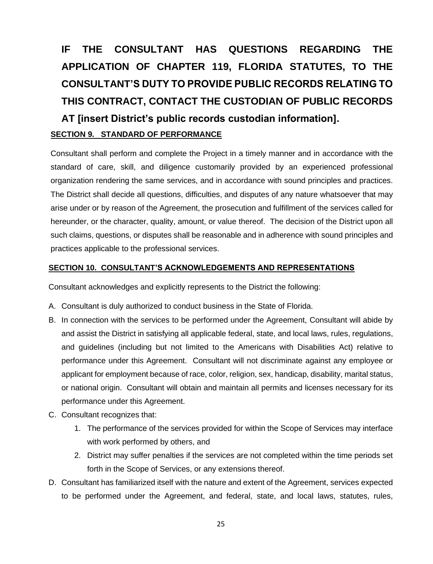# **IF THE CONSULTANT HAS QUESTIONS REGARDING THE APPLICATION OF CHAPTER 119, FLORIDA STATUTES, TO THE CONSULTANT'S DUTY TO PROVIDE PUBLIC RECORDS RELATING TO THIS CONTRACT, CONTACT THE CUSTODIAN OF PUBLIC RECORDS AT [insert District's public records custodian information]. SECTION 9. STANDARD OF PERFORMANCE**

Consultant shall perform and complete the Project in a timely manner and in accordance with the standard of care, skill, and diligence customarily provided by an experienced professional organization rendering the same services, and in accordance with sound principles and practices. The District shall decide all questions, difficulties, and disputes of any nature whatsoever that may arise under or by reason of the Agreement, the prosecution and fulfillment of the services called for hereunder, or the character, quality, amount, or value thereof. The decision of the District upon all such claims, questions, or disputes shall be reasonable and in adherence with sound principles and practices applicable to the professional services.

#### **SECTION 10. CONSULTANT'S ACKNOWLEDGEMENTS AND REPRESENTATIONS**

Consultant acknowledges and explicitly represents to the District the following:

- A. Consultant is duly authorized to conduct business in the State of Florida.
- B. In connection with the services to be performed under the Agreement, Consultant will abide by and assist the District in satisfying all applicable federal, state, and local laws, rules, regulations, and guidelines (including but not limited to the Americans with Disabilities Act) relative to performance under this Agreement. Consultant will not discriminate against any employee or applicant for employment because of race, color, religion, sex, handicap, disability, marital status, or national origin. Consultant will obtain and maintain all permits and licenses necessary for its performance under this Agreement.
- C. Consultant recognizes that:
	- 1. The performance of the services provided for within the Scope of Services may interface with work performed by others, and
	- 2. District may suffer penalties if the services are not completed within the time periods set forth in the Scope of Services, or any extensions thereof.
- D. Consultant has familiarized itself with the nature and extent of the Agreement, services expected to be performed under the Agreement, and federal, state, and local laws, statutes, rules,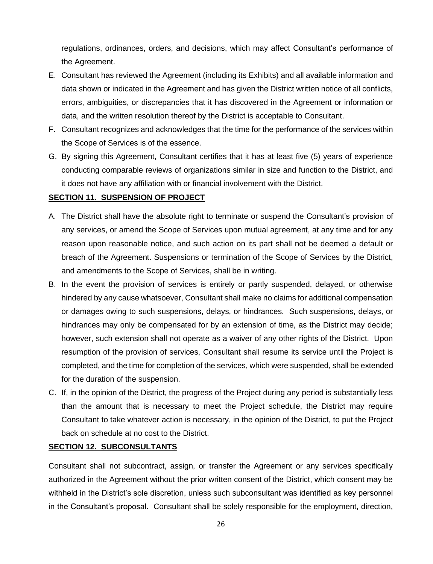regulations, ordinances, orders, and decisions, which may affect Consultant's performance of the Agreement.

- E. Consultant has reviewed the Agreement (including its Exhibits) and all available information and data shown or indicated in the Agreement and has given the District written notice of all conflicts, errors, ambiguities, or discrepancies that it has discovered in the Agreement or information or data, and the written resolution thereof by the District is acceptable to Consultant.
- F. Consultant recognizes and acknowledges that the time for the performance of the services within the Scope of Services is of the essence.
- G. By signing this Agreement, Consultant certifies that it has at least five (5) years of experience conducting comparable reviews of organizations similar in size and function to the District, and it does not have any affiliation with or financial involvement with the District.

#### **SECTION 11. SUSPENSION OF PROJECT**

- A. The District shall have the absolute right to terminate or suspend the Consultant's provision of any services, or amend the Scope of Services upon mutual agreement, at any time and for any reason upon reasonable notice, and such action on its part shall not be deemed a default or breach of the Agreement. Suspensions or termination of the Scope of Services by the District, and amendments to the Scope of Services, shall be in writing.
- B. In the event the provision of services is entirely or partly suspended, delayed, or otherwise hindered by any cause whatsoever, Consultant shall make no claims for additional compensation or damages owing to such suspensions, delays, or hindrances. Such suspensions, delays, or hindrances may only be compensated for by an extension of time, as the District may decide; however, such extension shall not operate as a waiver of any other rights of the District. Upon resumption of the provision of services, Consultant shall resume its service until the Project is completed, and the time for completion of the services, which were suspended, shall be extended for the duration of the suspension.
- C. If, in the opinion of the District, the progress of the Project during any period is substantially less than the amount that is necessary to meet the Project schedule, the District may require Consultant to take whatever action is necessary, in the opinion of the District, to put the Project back on schedule at no cost to the District.

#### **SECTION 12. SUBCONSULTANTS**

Consultant shall not subcontract, assign, or transfer the Agreement or any services specifically authorized in the Agreement without the prior written consent of the District, which consent may be withheld in the District's sole discretion, unless such subconsultant was identified as key personnel in the Consultant's proposal. Consultant shall be solely responsible for the employment, direction,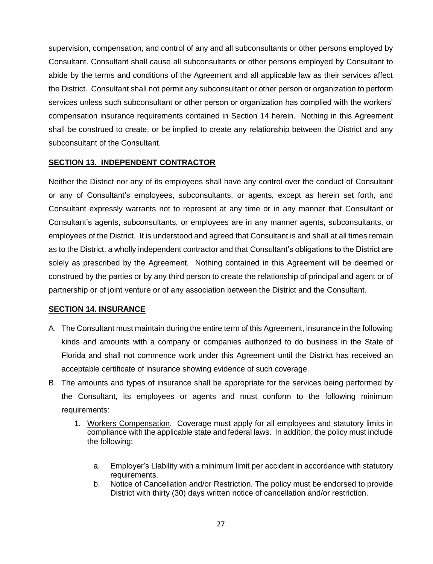supervision, compensation, and control of any and all subconsultants or other persons employed by Consultant. Consultant shall cause all subconsultants or other persons employed by Consultant to abide by the terms and conditions of the Agreement and all applicable law as their services affect the District. Consultant shall not permit any subconsultant or other person or organization to perform services unless such subconsultant or other person or organization has complied with the workers' compensation insurance requirements contained in Section 14 herein. Nothing in this Agreement shall be construed to create, or be implied to create any relationship between the District and any subconsultant of the Consultant.

## **SECTION 13. INDEPENDENT CONTRACTOR**

Neither the District nor any of its employees shall have any control over the conduct of Consultant or any of Consultant's employees, subconsultants, or agents, except as herein set forth, and Consultant expressly warrants not to represent at any time or in any manner that Consultant or Consultant's agents, subconsultants, or employees are in any manner agents, subconsultants, or employees of the District. It is understood and agreed that Consultant is and shall at all times remain as to the District, a wholly independent contractor and that Consultant's obligations to the District are solely as prescribed by the Agreement. Nothing contained in this Agreement will be deemed or construed by the parties or by any third person to create the relationship of principal and agent or of partnership or of joint venture or of any association between the District and the Consultant.

## **SECTION 14. INSURANCE**

- A. The Consultant must maintain during the entire term of this Agreement, insurance in the following kinds and amounts with a company or companies authorized to do business in the State of Florida and shall not commence work under this Agreement until the District has received an acceptable certificate of insurance showing evidence of such coverage.
- B. The amounts and types of insurance shall be appropriate for the services being performed by the Consultant, its employees or agents and must conform to the following minimum requirements:
	- 1. Workers Compensation. Coverage must apply for all employees and statutory limits in compliance with the applicable state and federal laws. In addition, the policy must include the following:
		- a. Employer's Liability with a minimum limit per accident in accordance with statutory requirements.
		- b. Notice of Cancellation and/or Restriction. The policy must be endorsed to provide District with thirty (30) days written notice of cancellation and/or restriction.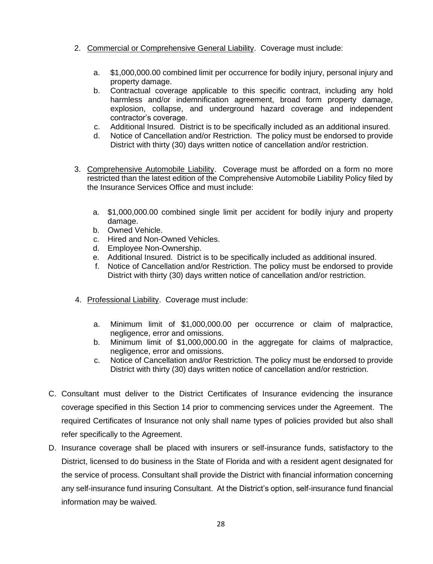- 2. Commercial or Comprehensive General Liability. Coverage must include:
	- a. \$1,000,000.00 combined limit per occurrence for bodily injury, personal injury and property damage.
	- b. Contractual coverage applicable to this specific contract, including any hold harmless and/or indemnification agreement, broad form property damage, explosion, collapse, and underground hazard coverage and independent contractor's coverage.
	- c. Additional Insured. District is to be specifically included as an additional insured.
	- d. Notice of Cancellation and/or Restriction. The policy must be endorsed to provide District with thirty (30) days written notice of cancellation and/or restriction.
- 3. Comprehensive Automobile Liability. Coverage must be afforded on a form no more restricted than the latest edition of the Comprehensive Automobile Liability Policy filed by the Insurance Services Office and must include:
	- a. \$1,000,000.00 combined single limit per accident for bodily injury and property damage.
	- b. Owned Vehicle.
	- c. Hired and Non-Owned Vehicles.
	- d. Employee Non-Ownership.
	- e. Additional Insured. District is to be specifically included as additional insured.
	- f. Notice of Cancellation and/or Restriction. The policy must be endorsed to provide District with thirty (30) days written notice of cancellation and/or restriction.
- 4. Professional Liability. Coverage must include:
	- a. Minimum limit of \$1,000,000.00 per occurrence or claim of malpractice, negligence, error and omissions.
	- b. Minimum limit of \$1,000,000.00 in the aggregate for claims of malpractice, negligence, error and omissions.
	- c. Notice of Cancellation and/or Restriction. The policy must be endorsed to provide District with thirty (30) days written notice of cancellation and/or restriction.
- C. Consultant must deliver to the District Certificates of Insurance evidencing the insurance coverage specified in this Section 14 prior to commencing services under the Agreement. The required Certificates of Insurance not only shall name types of policies provided but also shall refer specifically to the Agreement.
- D. Insurance coverage shall be placed with insurers or self-insurance funds, satisfactory to the District, licensed to do business in the State of Florida and with a resident agent designated for the service of process. Consultant shall provide the District with financial information concerning any self-insurance fund insuring Consultant. At the District's option, self-insurance fund financial information may be waived.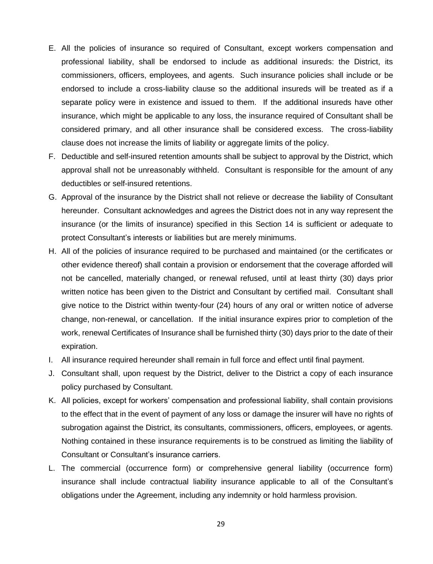- E. All the policies of insurance so required of Consultant, except workers compensation and professional liability, shall be endorsed to include as additional insureds: the District, its commissioners, officers, employees, and agents. Such insurance policies shall include or be endorsed to include a cross-liability clause so the additional insureds will be treated as if a separate policy were in existence and issued to them. If the additional insureds have other insurance, which might be applicable to any loss, the insurance required of Consultant shall be considered primary, and all other insurance shall be considered excess. The cross-liability clause does not increase the limits of liability or aggregate limits of the policy.
- F. Deductible and self-insured retention amounts shall be subject to approval by the District, which approval shall not be unreasonably withheld. Consultant is responsible for the amount of any deductibles or self-insured retentions.
- G. Approval of the insurance by the District shall not relieve or decrease the liability of Consultant hereunder. Consultant acknowledges and agrees the District does not in any way represent the insurance (or the limits of insurance) specified in this Section 14 is sufficient or adequate to protect Consultant's interests or liabilities but are merely minimums.
- H. All of the policies of insurance required to be purchased and maintained (or the certificates or other evidence thereof) shall contain a provision or endorsement that the coverage afforded will not be cancelled, materially changed, or renewal refused, until at least thirty (30) days prior written notice has been given to the District and Consultant by certified mail. Consultant shall give notice to the District within twenty-four (24) hours of any oral or written notice of adverse change, non-renewal, or cancellation. If the initial insurance expires prior to completion of the work, renewal Certificates of Insurance shall be furnished thirty (30) days prior to the date of their expiration.
- I. All insurance required hereunder shall remain in full force and effect until final payment.
- J. Consultant shall, upon request by the District, deliver to the District a copy of each insurance policy purchased by Consultant.
- K. All policies, except for workers' compensation and professional liability, shall contain provisions to the effect that in the event of payment of any loss or damage the insurer will have no rights of subrogation against the District, its consultants, commissioners, officers, employees, or agents. Nothing contained in these insurance requirements is to be construed as limiting the liability of Consultant or Consultant's insurance carriers.
- L. The commercial (occurrence form) or comprehensive general liability (occurrence form) insurance shall include contractual liability insurance applicable to all of the Consultant's obligations under the Agreement, including any indemnity or hold harmless provision.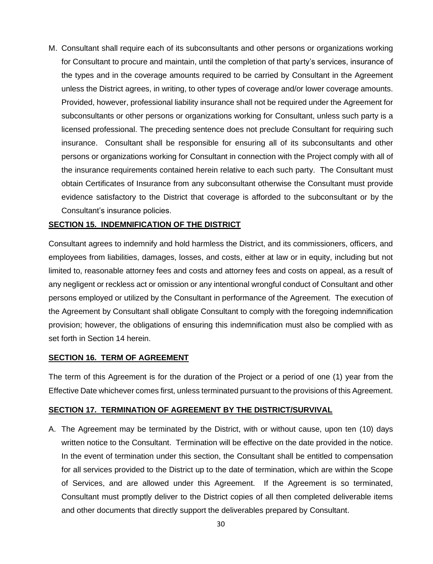M. Consultant shall require each of its subconsultants and other persons or organizations working for Consultant to procure and maintain, until the completion of that party's services, insurance of the types and in the coverage amounts required to be carried by Consultant in the Agreement unless the District agrees, in writing, to other types of coverage and/or lower coverage amounts. Provided, however, professional liability insurance shall not be required under the Agreement for subconsultants or other persons or organizations working for Consultant, unless such party is a licensed professional. The preceding sentence does not preclude Consultant for requiring such insurance. Consultant shall be responsible for ensuring all of its subconsultants and other persons or organizations working for Consultant in connection with the Project comply with all of the insurance requirements contained herein relative to each such party. The Consultant must obtain Certificates of Insurance from any subconsultant otherwise the Consultant must provide evidence satisfactory to the District that coverage is afforded to the subconsultant or by the Consultant's insurance policies.

#### **SECTION 15. INDEMNIFICATION OF THE DISTRICT**

Consultant agrees to indemnify and hold harmless the District, and its commissioners, officers, and employees from liabilities, damages, losses, and costs, either at law or in equity, including but not limited to, reasonable attorney fees and costs and attorney fees and costs on appeal, as a result of any negligent or reckless act or omission or any intentional wrongful conduct of Consultant and other persons employed or utilized by the Consultant in performance of the Agreement. The execution of the Agreement by Consultant shall obligate Consultant to comply with the foregoing indemnification provision; however, the obligations of ensuring this indemnification must also be complied with as set forth in Section 14 herein.

## **SECTION 16. TERM OF AGREEMENT**

The term of this Agreement is for the duration of the Project or a period of one (1) year from the Effective Date whichever comes first, unless terminated pursuant to the provisions of this Agreement.

## **SECTION 17. TERMINATION OF AGREEMENT BY THE DISTRICT/SURVIVAL**

A. The Agreement may be terminated by the District, with or without cause, upon ten (10) days written notice to the Consultant. Termination will be effective on the date provided in the notice. In the event of termination under this section, the Consultant shall be entitled to compensation for all services provided to the District up to the date of termination, which are within the Scope of Services, and are allowed under this Agreement. If the Agreement is so terminated, Consultant must promptly deliver to the District copies of all then completed deliverable items and other documents that directly support the deliverables prepared by Consultant.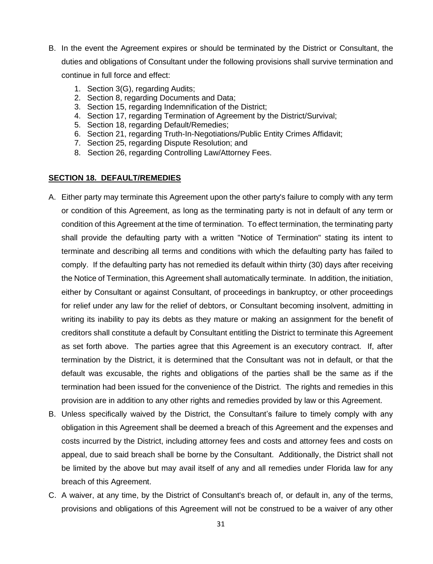- B. In the event the Agreement expires or should be terminated by the District or Consultant, the duties and obligations of Consultant under the following provisions shall survive termination and continue in full force and effect:
	- 1. Section 3(G), regarding Audits;
	- 2. Section 8, regarding Documents and Data;
	- 3. Section 15, regarding Indemnification of the District;
	- 4. Section 17, regarding Termination of Agreement by the District/Survival;
	- 5. Section 18, regarding Default/Remedies;
	- 6. Section 21, regarding Truth-In-Negotiations/Public Entity Crimes Affidavit;
	- 7. Section 25, regarding Dispute Resolution; and
	- 8. Section 26, regarding Controlling Law/Attorney Fees.

#### **SECTION 18. DEFAULT/REMEDIES**

- A. Either party may terminate this Agreement upon the other party's failure to comply with any term or condition of this Agreement, as long as the terminating party is not in default of any term or condition of this Agreement at the time of termination. To effect termination, the terminating party shall provide the defaulting party with a written "Notice of Termination" stating its intent to terminate and describing all terms and conditions with which the defaulting party has failed to comply. If the defaulting party has not remedied its default within thirty (30) days after receiving the Notice of Termination, this Agreement shall automatically terminate. In addition, the initiation, either by Consultant or against Consultant, of proceedings in bankruptcy, or other proceedings for relief under any law for the relief of debtors, or Consultant becoming insolvent, admitting in writing its inability to pay its debts as they mature or making an assignment for the benefit of creditors shall constitute a default by Consultant entitling the District to terminate this Agreement as set forth above. The parties agree that this Agreement is an executory contract. If, after termination by the District, it is determined that the Consultant was not in default, or that the default was excusable, the rights and obligations of the parties shall be the same as if the termination had been issued for the convenience of the District. The rights and remedies in this provision are in addition to any other rights and remedies provided by law or this Agreement.
- B. Unless specifically waived by the District, the Consultant's failure to timely comply with any obligation in this Agreement shall be deemed a breach of this Agreement and the expenses and costs incurred by the District, including attorney fees and costs and attorney fees and costs on appeal, due to said breach shall be borne by the Consultant. Additionally, the District shall not be limited by the above but may avail itself of any and all remedies under Florida law for any breach of this Agreement.
- C. A waiver, at any time, by the District of Consultant's breach of, or default in, any of the terms, provisions and obligations of this Agreement will not be construed to be a waiver of any other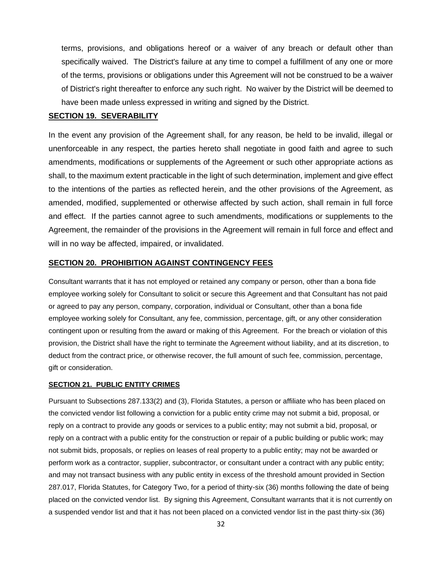terms, provisions, and obligations hereof or a waiver of any breach or default other than specifically waived. The District's failure at any time to compel a fulfillment of any one or more of the terms, provisions or obligations under this Agreement will not be construed to be a waiver of District's right thereafter to enforce any such right. No waiver by the District will be deemed to have been made unless expressed in writing and signed by the District.

#### **SECTION 19. SEVERABILITY**

In the event any provision of the Agreement shall, for any reason, be held to be invalid, illegal or unenforceable in any respect, the parties hereto shall negotiate in good faith and agree to such amendments, modifications or supplements of the Agreement or such other appropriate actions as shall, to the maximum extent practicable in the light of such determination, implement and give effect to the intentions of the parties as reflected herein, and the other provisions of the Agreement, as amended, modified, supplemented or otherwise affected by such action, shall remain in full force and effect. If the parties cannot agree to such amendments, modifications or supplements to the Agreement, the remainder of the provisions in the Agreement will remain in full force and effect and will in no way be affected, impaired, or invalidated.

#### **SECTION 20. PROHIBITION AGAINST CONTINGENCY FEES**

Consultant warrants that it has not employed or retained any company or person, other than a bona fide employee working solely for Consultant to solicit or secure this Agreement and that Consultant has not paid or agreed to pay any person, company, corporation, individual or Consultant, other than a bona fide employee working solely for Consultant, any fee, commission, percentage, gift, or any other consideration contingent upon or resulting from the award or making of this Agreement. For the breach or violation of this provision, the District shall have the right to terminate the Agreement without liability, and at its discretion, to deduct from the contract price, or otherwise recover, the full amount of such fee, commission, percentage, gift or consideration.

#### **SECTION 21. PUBLIC ENTITY CRIMES**

Pursuant to Subsections 287.133(2) and (3), Florida Statutes, a person or affiliate who has been placed on the convicted vendor list following a conviction for a public entity crime may not submit a bid, proposal, or reply on a contract to provide any goods or services to a public entity; may not submit a bid, proposal, or reply on a contract with a public entity for the construction or repair of a public building or public work; may not submit bids, proposals, or replies on leases of real property to a public entity; may not be awarded or perform work as a contractor, supplier, subcontractor, or consultant under a contract with any public entity; and may not transact business with any public entity in excess of the threshold amount provided in Section 287.017, Florida Statutes, for Category Two, for a period of thirty-six (36) months following the date of being placed on the convicted vendor list. By signing this Agreement, Consultant warrants that it is not currently on a suspended vendor list and that it has not been placed on a convicted vendor list in the past thirty-six (36)

32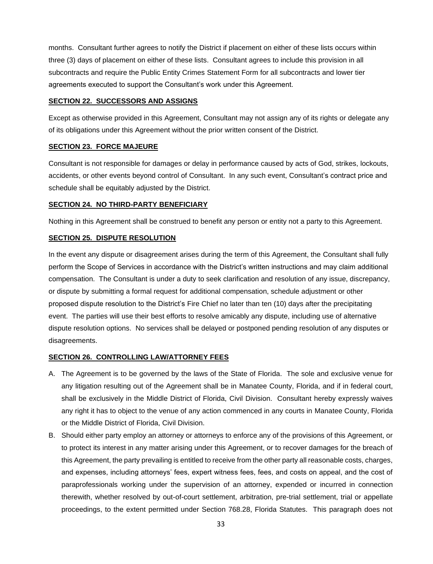months. Consultant further agrees to notify the District if placement on either of these lists occurs within three (3) days of placement on either of these lists. Consultant agrees to include this provision in all subcontracts and require the Public Entity Crimes Statement Form for all subcontracts and lower tier agreements executed to support the Consultant's work under this Agreement.

#### **SECTION 22. SUCCESSORS AND ASSIGNS**

Except as otherwise provided in this Agreement, Consultant may not assign any of its rights or delegate any of its obligations under this Agreement without the prior written consent of the District.

#### **SECTION 23. FORCE MAJEURE**

Consultant is not responsible for damages or delay in performance caused by acts of God, strikes, lockouts, accidents, or other events beyond control of Consultant. In any such event, Consultant's contract price and schedule shall be equitably adjusted by the District.

#### **SECTION 24. NO THIRD-PARTY BENEFICIARY**

Nothing in this Agreement shall be construed to benefit any person or entity not a party to this Agreement.

#### **SECTION 25. DISPUTE RESOLUTION**

In the event any dispute or disagreement arises during the term of this Agreement, the Consultant shall fully perform the Scope of Services in accordance with the District's written instructions and may claim additional compensation. The Consultant is under a duty to seek clarification and resolution of any issue, discrepancy, or dispute by submitting a formal request for additional compensation, schedule adjustment or other proposed dispute resolution to the District's Fire Chief no later than ten (10) days after the precipitating event. The parties will use their best efforts to resolve amicably any dispute, including use of alternative dispute resolution options. No services shall be delayed or postponed pending resolution of any disputes or disagreements.

#### **SECTION 26. CONTROLLING LAW/ATTORNEY FEES**

- A. The Agreement is to be governed by the laws of the State of Florida. The sole and exclusive venue for any litigation resulting out of the Agreement shall be in Manatee County, Florida, and if in federal court, shall be exclusively in the Middle District of Florida, Civil Division. Consultant hereby expressly waives any right it has to object to the venue of any action commenced in any courts in Manatee County, Florida or the Middle District of Florida, Civil Division.
- B. Should either party employ an attorney or attorneys to enforce any of the provisions of this Agreement, or to protect its interest in any matter arising under this Agreement, or to recover damages for the breach of this Agreement, the party prevailing is entitled to receive from the other party all reasonable costs, charges, and expenses, including attorneys' fees, expert witness fees, fees, and costs on appeal, and the cost of paraprofessionals working under the supervision of an attorney, expended or incurred in connection therewith, whether resolved by out-of-court settlement, arbitration, pre-trial settlement, trial or appellate proceedings, to the extent permitted under Section 768.28, Florida Statutes. This paragraph does not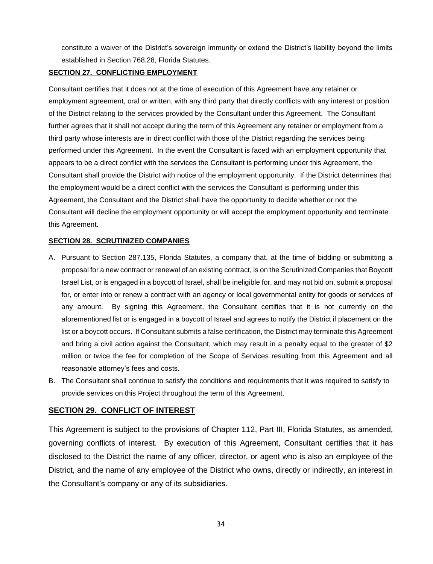constitute a waiver of the District's sovereign immunity or extend the District's liability beyond the limits established in Section 768.28, Florida Statutes.

#### **SECTION 27. CONFLICTING EMPLOYMENT**

Consultant certifies that it does not at the time of execution of this Agreement have any retainer or employment agreement, oral or written, with any third party that directly conflicts with any interest or position of the District relating to the services provided by the Consultant under this Agreement. The Consultant further agrees that it shall not accept during the term of this Agreement any retainer or employment from a third party whose interests are in direct conflict with those of the District regarding the services being performed under this Agreement. In the event the Consultant is faced with an employment opportunity that appears to be a direct conflict with the services the Consultant is performing under this Agreement, the Consultant shall provide the District with notice of the employment opportunity. If the District determines that the employment would be a direct conflict with the services the Consultant is performing under this Agreement, the Consultant and the District shall have the opportunity to decide whether or not the Consultant will decline the employment opportunity or will accept the employment opportunity and terminate this Agreement.

#### **SECTION 28. SCRUTINIZED COMPANIES**

- A. Pursuant to Section 287.135, Florida Statutes, a company that, at the time of bidding or submitting a proposal for a new contract or renewal of an existing contract, is on the Scrutinized Companies that Boycott Israel List, or is engaged in a boycott of Israel, shall be ineligible for, and may not bid on, submit a proposal for, or enter into or renew a contract with an agency or local governmental entity for goods or services of any amount. By signing this Agreement, the Consultant certifies that it is not currently on the aforementioned list or is engaged in a boycott of Israel and agrees to notify the District if placement on the list or a boycott occurs. If Consultant submits a false certification, the District may terminate this Agreement and bring a civil action against the Consultant, which may result in a penalty equal to the greater of \$2 million or twice the fee for completion of the Scope of Services resulting from this Agreement and all reasonable attorney's fees and costs.
- B. The Consultant shall continue to satisfy the conditions and requirements that it was required to satisfy to provide services on this Project throughout the term of this Agreement.

## **SECTION 29. CONFLICT OF INTEREST**

This Agreement is subject to the provisions of Chapter 112, Part III, Florida Statutes, as amended, governing conflicts of interest. By execution of this Agreement, Consultant certifies that it has disclosed to the District the name of any officer, director, or agent who is also an employee of the District, and the name of any employee of the District who owns, directly or indirectly, an interest in the Consultant's company or any of its subsidiaries.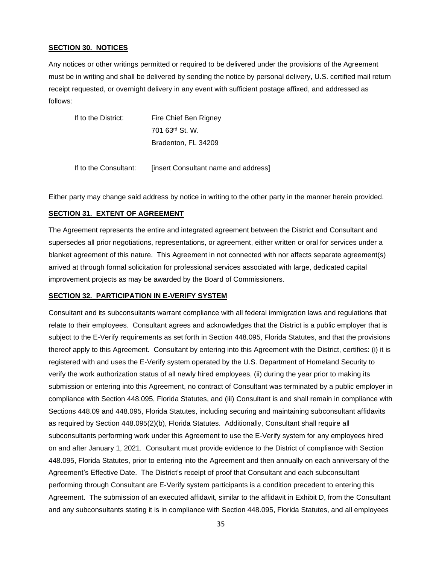#### **SECTION 30. NOTICES**

Any notices or other writings permitted or required to be delivered under the provisions of the Agreement must be in writing and shall be delivered by sending the notice by personal delivery, U.S. certified mail return receipt requested, or overnight delivery in any event with sufficient postage affixed, and addressed as follows:

| If to the District: | Fire Chief Ben Rigney       |
|---------------------|-----------------------------|
|                     | 701 63 <sup>rd</sup> St. W. |
|                     | Bradenton, FL 34209         |
|                     |                             |

If to the Consultant: [insert Consultant name and address]

Either party may change said address by notice in writing to the other party in the manner herein provided.

#### **SECTION 31. EXTENT OF AGREEMENT**

The Agreement represents the entire and integrated agreement between the District and Consultant and supersedes all prior negotiations, representations, or agreement, either written or oral for services under a blanket agreement of this nature. This Agreement in not connected with nor affects separate agreement(s) arrived at through formal solicitation for professional services associated with large, dedicated capital improvement projects as may be awarded by the Board of Commissioners.

#### **SECTION 32. PARTICIPATION IN E-VERIFY SYSTEM**

Consultant and its subconsultants warrant compliance with all federal immigration laws and regulations that relate to their employees. Consultant agrees and acknowledges that the District is a public employer that is subject to the E-Verify requirements as set forth in Section 448.095, Florida Statutes, and that the provisions thereof apply to this Agreement. Consultant by entering into this Agreement with the District, certifies: (i) it is registered with and uses the E-Verify system operated by the U.S. Department of Homeland Security to verify the work authorization status of all newly hired employees, (ii) during the year prior to making its submission or entering into this Agreement, no contract of Consultant was terminated by a public employer in compliance with Section 448.095, Florida Statutes, and (iii) Consultant is and shall remain in compliance with Sections 448.09 and 448.095, Florida Statutes, including securing and maintaining subconsultant affidavits as required by Section 448.095(2)(b), Florida Statutes. Additionally, Consultant shall require all subconsultants performing work under this Agreement to use the E-Verify system for any employees hired on and after January 1, 2021. Consultant must provide evidence to the District of compliance with Section 448.095, Florida Statutes, prior to entering into the Agreement and then annually on each anniversary of the Agreement's Effective Date. The District's receipt of proof that Consultant and each subconsultant performing through Consultant are E-Verify system participants is a condition precedent to entering this Agreement. The submission of an executed affidavit, similar to the affidavit in Exhibit D, from the Consultant and any subconsultants stating it is in compliance with Section 448.095, Florida Statutes, and all employees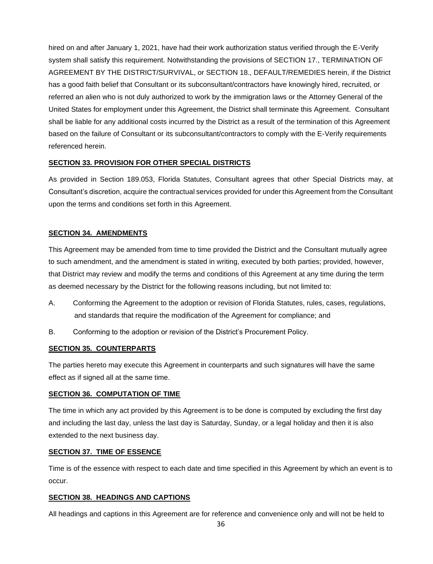hired on and after January 1, 2021, have had their work authorization status verified through the E-Verify system shall satisfy this requirement. Notwithstanding the provisions of SECTION 17., TERMINATION OF AGREEMENT BY THE DISTRICT/SURVIVAL, or SECTION 18., DEFAULT/REMEDIES herein, if the District has a good faith belief that Consultant or its subconsultant/contractors have knowingly hired, recruited, or referred an alien who is not duly authorized to work by the immigration laws or the Attorney General of the United States for employment under this Agreement, the District shall terminate this Agreement. Consultant shall be liable for any additional costs incurred by the District as a result of the termination of this Agreement based on the failure of Consultant or its subconsultant/contractors to comply with the E-Verify requirements referenced herein.

#### **SECTION 33. PROVISION FOR OTHER SPECIAL DISTRICTS**

As provided in Section 189.053, Florida Statutes, Consultant agrees that other Special Districts may, at Consultant's discretion, acquire the contractual services provided for under this Agreement from the Consultant upon the terms and conditions set forth in this Agreement.

#### **SECTION 34. AMENDMENTS**

This Agreement may be amended from time to time provided the District and the Consultant mutually agree to such amendment, and the amendment is stated in writing, executed by both parties; provided, however, that District may review and modify the terms and conditions of this Agreement at any time during the term as deemed necessary by the District for the following reasons including, but not limited to:

- A. Conforming the Agreement to the adoption or revision of Florida Statutes, rules, cases, regulations, and standards that require the modification of the Agreement for compliance; and
- B. Conforming to the adoption or revision of the District's Procurement Policy.

#### **SECTION 35. COUNTERPARTS**

The parties hereto may execute this Agreement in counterparts and such signatures will have the same effect as if signed all at the same time.

#### **SECTION 36. COMPUTATION OF TIME**

The time in which any act provided by this Agreement is to be done is computed by excluding the first day and including the last day, unless the last day is Saturday, Sunday, or a legal holiday and then it is also extended to the next business day.

#### **SECTION 37. TIME OF ESSENCE**

Time is of the essence with respect to each date and time specified in this Agreement by which an event is to occur.

#### **SECTION 38. HEADINGS AND CAPTIONS**

All headings and captions in this Agreement are for reference and convenience only and will not be held to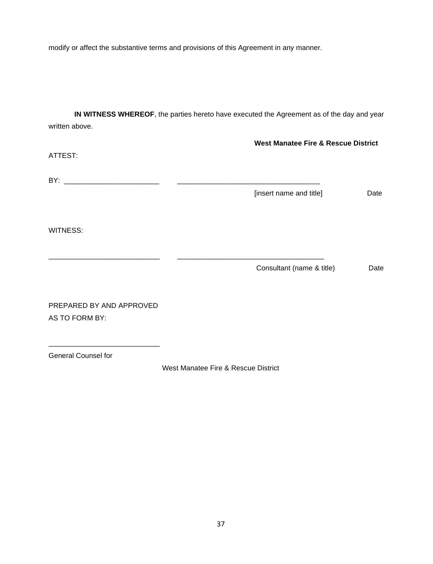modify or affect the substantive terms and provisions of this Agreement in any manner.

**IN WITNESS WHEREOF**, the parties hereto have executed the Agreement as of the day and year written above.

|                                            | <b>West Manatee Fire &amp; Rescue District</b> |      |
|--------------------------------------------|------------------------------------------------|------|
| ATTEST:                                    |                                                |      |
|                                            |                                                |      |
|                                            | [insert name and title]                        | Date |
| WITNESS:                                   |                                                |      |
|                                            | Consultant (name & title)                      | Date |
| PREPARED BY AND APPROVED<br>AS TO FORM BY: |                                                |      |
|                                            |                                                |      |

General Counsel for

West Manatee Fire & Rescue District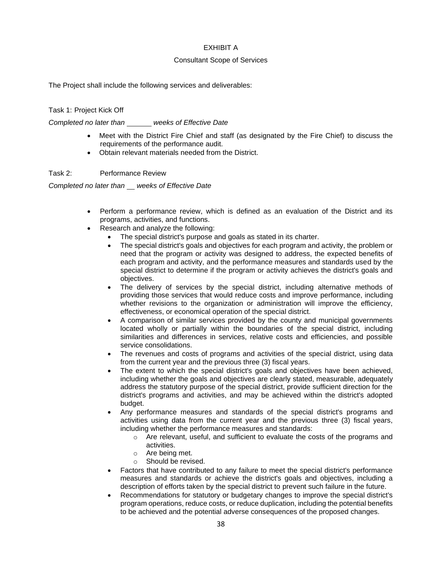#### EXHIBIT A

#### Consultant Scope of Services

The Project shall include the following services and deliverables:

Task 1: Project Kick Off

*Completed no later than weeks of Effective Date*

- Meet with the District Fire Chief and staff (as designated by the Fire Chief) to discuss the requirements of the performance audit.
- Obtain relevant materials needed from the District.

Task 2: Performance Review

*Completed no later than weeks of Effective Date*

- Perform a performance review, which is defined as an evaluation of the District and its programs, activities, and functions.
- Research and analyze the following:
	- The special district's purpose and goals as stated in its charter.
	- The special district's goals and objectives for each program and activity, the problem or need that the program or activity was designed to address, the expected benefits of each program and activity, and the performance measures and standards used by the special district to determine if the program or activity achieves the district's goals and objectives.
	- The delivery of services by the special district, including alternative methods of providing those services that would reduce costs and improve performance, including whether revisions to the organization or administration will improve the efficiency, effectiveness, or economical operation of the special district.
	- A comparison of similar services provided by the county and municipal governments located wholly or partially within the boundaries of the special district, including similarities and differences in services, relative costs and efficiencies, and possible service consolidations.
	- The revenues and costs of programs and activities of the special district, using data from the current year and the previous three (3) fiscal years.
	- The extent to which the special district's goals and objectives have been achieved, including whether the goals and objectives are clearly stated, measurable, adequately address the statutory purpose of the special district, provide sufficient direction for the district's programs and activities, and may be achieved within the district's adopted budget.
	- Any performance measures and standards of the special district's programs and activities using data from the current year and the previous three (3) fiscal years, including whether the performance measures and standards:
		- $\circ$  Are relevant, useful, and sufficient to evaluate the costs of the programs and activities.
		- o Are being met.
		- o Should be revised.
	- Factors that have contributed to any failure to meet the special district's performance measures and standards or achieve the district's goals and objectives, including a description of efforts taken by the special district to prevent such failure in the future.
	- Recommendations for statutory or budgetary changes to improve the special district's program operations, reduce costs, or reduce duplication, including the potential benefits to be achieved and the potential adverse consequences of the proposed changes.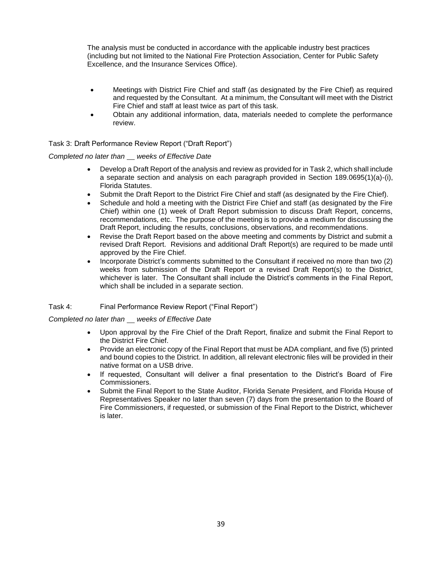The analysis must be conducted in accordance with the applicable industry best practices (including but not limited to the National Fire Protection Association, Center for Public Safety Excellence, and the Insurance Services Office).

- Meetings with District Fire Chief and staff (as designated by the Fire Chief) as required and requested by the Consultant. At a minimum, the Consultant will meet with the District Fire Chief and staff at least twice as part of this task.
- Obtain any additional information, data, materials needed to complete the performance review.

#### Task 3: Draft Performance Review Report ("Draft Report")

*Completed no later than weeks of Effective Date*

- Develop a Draft Report of the analysis and review as provided for in Task 2, which shall include a separate section and analysis on each paragraph provided in Section 189.0695(1)(a)-(i), Florida Statutes.
- Submit the Draft Report to the District Fire Chief and staff (as designated by the Fire Chief).
- Schedule and hold a meeting with the District Fire Chief and staff (as designated by the Fire Chief) within one (1) week of Draft Report submission to discuss Draft Report, concerns, recommendations, etc. The purpose of the meeting is to provide a medium for discussing the Draft Report, including the results, conclusions, observations, and recommendations.
- Revise the Draft Report based on the above meeting and comments by District and submit a revised Draft Report. Revisions and additional Draft Report(s) are required to be made until approved by the Fire Chief.
- Incorporate District's comments submitted to the Consultant if received no more than two (2) weeks from submission of the Draft Report or a revised Draft Report(s) to the District, whichever is later. The Consultant shall include the District's comments in the Final Report, which shall be included in a separate section.

Task 4: Final Performance Review Report ("Final Report")

*Completed no later than weeks of Effective Date*

- Upon approval by the Fire Chief of the Draft Report, finalize and submit the Final Report to the District Fire Chief.
- Provide an electronic copy of the Final Report that must be ADA compliant, and five (5) printed and bound copies to the District. In addition, all relevant electronic files will be provided in their native format on a USB drive.
- If requested, Consultant will deliver a final presentation to the District's Board of Fire Commissioners.
- Submit the Final Report to the State Auditor, Florida Senate President, and Florida House of Representatives Speaker no later than seven (7) days from the presentation to the Board of Fire Commissioners, if requested, or submission of the Final Report to the District, whichever is later.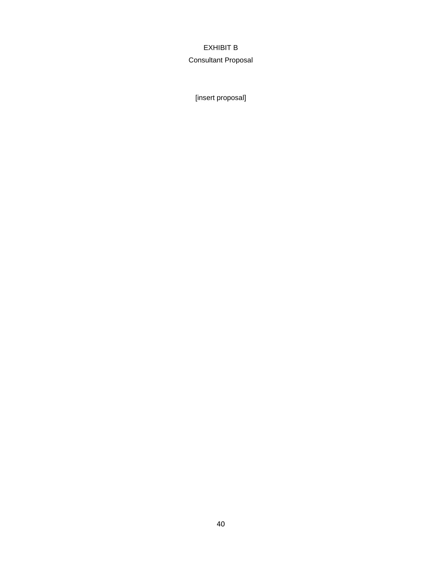## EXHIBIT B

## Consultant Proposal

[insert proposal]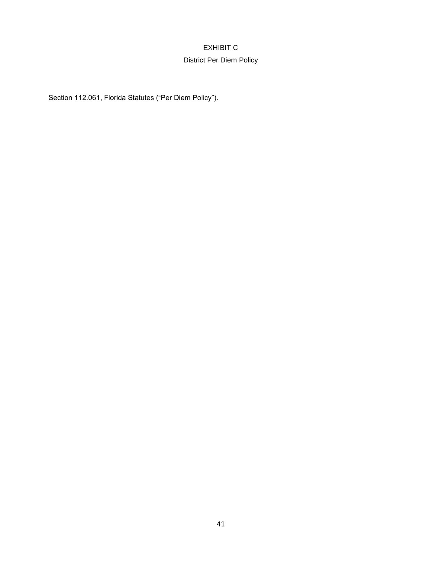## EXHIBIT C District Per Diem Policy

Section 112.061, Florida Statutes ("Per Diem Policy").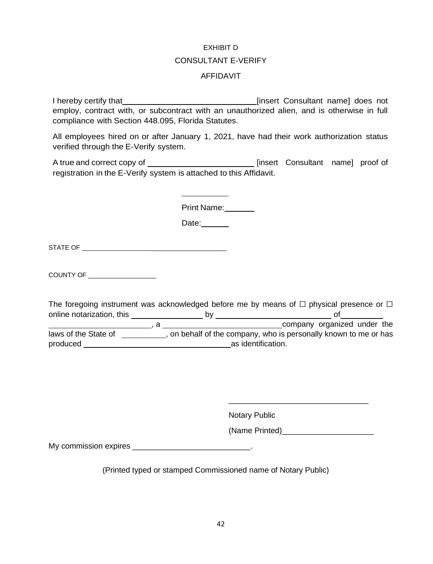# EXHIBIT D CONSULTANT E-VERIFY AFFIDAVIT

I hereby certify that **insert Consultant name** does not employ, contract with, or subcontract with an unauthorized alien, and is otherwise in full compliance with Section 448.095, Florida Statutes.

All employees hired on or after January 1, 2021, have had their work authorization status verified through the E-Verify system.

A true and correct copy of \_\_\_\_\_\_\_\_\_\_\_\_\_\_\_\_\_\_\_\_\_\_\_\_\_\_\_\_\_\_ [insert Consultant name] proof of registration in the E-Verify system is attached to this Affidavit.

Print Name:

Date:

STATE OF \_\_\_\_\_\_\_\_\_\_\_\_\_\_\_\_\_\_\_\_\_

COUNTY OF

The foregoing instrument was acknowledged before me by means of  $\Box$  physical presence or  $\Box$ online notarization, this by of , a company organized under the laws of the State of \_\_\_\_\_\_\_\_, on behalf of the company, who is personally known to me or has produced as identification.

Notary Public

(Name Printed)\_\_\_\_\_\_\_\_\_\_\_\_\_\_\_\_\_\_\_\_\_

\_\_\_\_\_\_\_\_\_\_\_\_\_\_\_\_\_\_\_\_\_\_\_\_\_\_\_\_\_\_\_\_

My commission expires \_\_\_\_\_\_\_\_\_\_\_\_\_\_\_\_\_\_\_\_\_\_\_\_\_\_\_\_\_\_\_.

(Printed typed or stamped Commissioned name of Notary Public)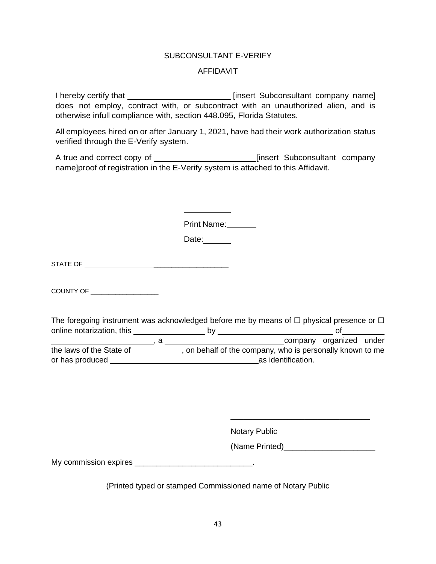### SUBCONSULTANT E-VERIFY

#### AFFIDAVIT

I hereby certify that **insert Subconsultant company name** does not employ, contract with, or subcontract with an unauthorized alien, and is otherwise infull compliance with, section 448.095, Florida Statutes.

All employees hired on or after January 1, 2021, have had their work authorization status verified through the E-Verify system.

A true and correct copy of \_\_\_\_\_\_\_\_\_\_\_\_\_\_\_\_\_\_\_\_\_\_\_\_\_\_\_\_\_\_\_\_\_[insert Subconsultant company name]proof of registration in the E-Verify system is attached to this Affidavit.

Print Name:

Date:

STATE OF \_\_\_\_\_\_\_\_\_\_\_\_\_\_\_\_\_\_\_\_\_

COUNTY OF \_\_\_\_\_\_\_\_\_\_\_\_\_\_\_\_\_\_\_

The foregoing instrument was acknowledged before me by means of  $\Box$  physical presence or  $\Box$ online notarization, this by of

company organized under the laws of the State of  $\overline{\hspace{1cm}}$ , on behalf of the company, who is personally known to me or has produced **as identification**.

Notary Public

(Name Printed)\_\_\_\_\_\_\_\_\_\_\_\_\_\_\_\_\_\_\_\_\_

\_\_\_\_\_\_\_\_\_\_\_\_\_\_\_\_\_\_\_\_\_\_\_\_\_\_\_\_\_\_\_\_

My commission expires \_\_\_\_\_\_\_\_\_\_\_\_\_\_\_\_\_\_\_\_\_\_\_\_\_\_\_\_\_.

(Printed typed or stamped Commissioned name of Notary Public